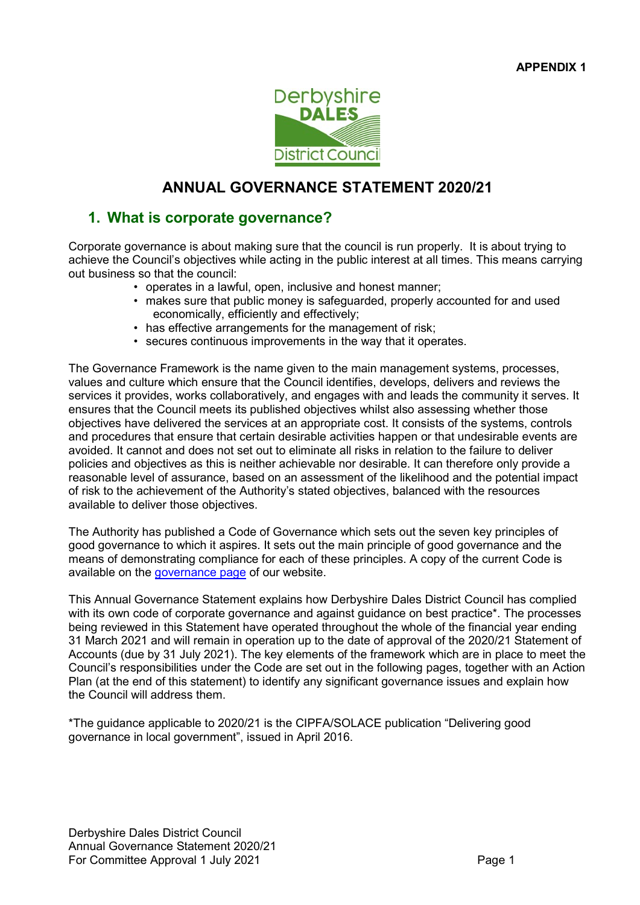

# ANNUAL GOVERNANCE STATEMENT 2020/21

# 1. What is corporate governance?

Corporate governance is about making sure that the council is run properly. It is about trying to achieve the Council's objectives while acting in the public interest at all times. This means carrying out business so that the council:

- operates in a lawful, open, inclusive and honest manner;
- makes sure that public money is safeguarded, properly accounted for and used economically, efficiently and effectively;
- has effective arrangements for the management of risk;
- secures continuous improvements in the way that it operates.

The Governance Framework is the name given to the main management systems, processes, values and culture which ensure that the Council identifies, develops, delivers and reviews the services it provides, works collaboratively, and engages with and leads the community it serves. It ensures that the Council meets its published objectives whilst also assessing whether those objectives have delivered the services at an appropriate cost. It consists of the systems, controls and procedures that ensure that certain desirable activities happen or that undesirable events are avoided. It cannot and does not set out to eliminate all risks in relation to the failure to deliver policies and objectives as this is neither achievable nor desirable. It can therefore only provide a reasonable level of assurance, based on an assessment of the likelihood and the potential impact of risk to the achievement of the Authority's stated objectives, balanced with the resources available to deliver those objectives.

The Authority has published a Code of Governance which sets out the seven key principles of good governance to which it aspires. It sets out the main principle of good governance and the means of demonstrating compliance for each of these principles. A copy of the current Code is available on the governance page of our website.

This Annual Governance Statement explains how Derbyshire Dales District Council has complied with its own code of corporate governance and against guidance on best practice\*. The processes being reviewed in this Statement have operated throughout the whole of the financial year ending 31 March 2021 and will remain in operation up to the date of approval of the 2020/21 Statement of Accounts (due by 31 July 2021). The key elements of the framework which are in place to meet the Council's responsibilities under the Code are set out in the following pages, together with an Action Plan (at the end of this statement) to identify any significant governance issues and explain how the Council will address them.

\*The guidance applicable to 2020/21 is the CIPFA/SOLACE publication "Delivering good governance in local government", issued in April 2016.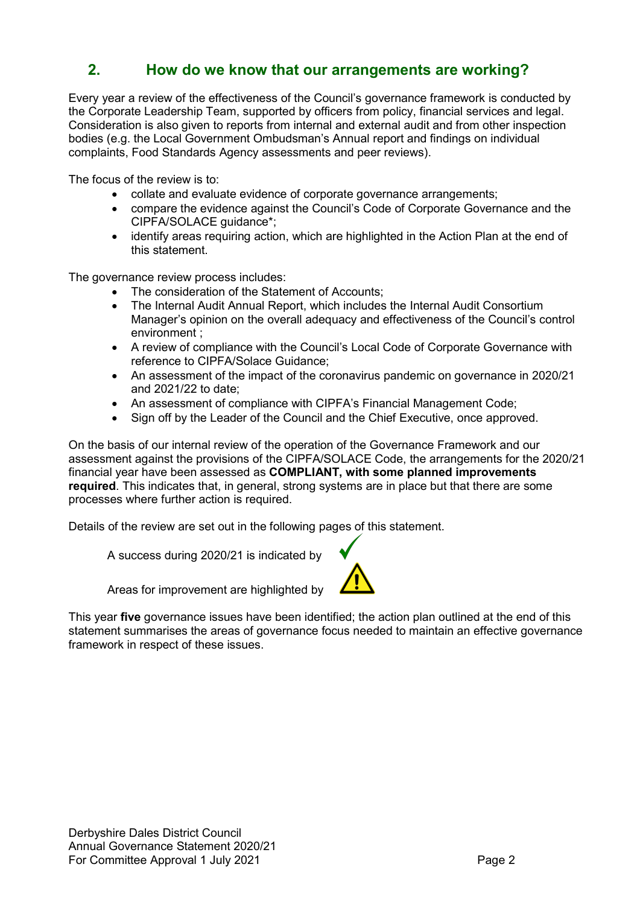# 2. How do we know that our arrangements are working?

Every year a review of the effectiveness of the Council's governance framework is conducted by the Corporate Leadership Team, supported by officers from policy, financial services and legal. Consideration is also given to reports from internal and external audit and from other inspection bodies (e.g. the Local Government Ombudsman's Annual report and findings on individual complaints, Food Standards Agency assessments and peer reviews).

The focus of the review is to:

- collate and evaluate evidence of corporate governance arrangements;
- compare the evidence against the Council's Code of Corporate Governance and the CIPFA/SOLACE guidance\*;
- identify areas requiring action, which are highlighted in the Action Plan at the end of this statement.

The governance review process includes:

- The consideration of the Statement of Accounts;
- The Internal Audit Annual Report, which includes the Internal Audit Consortium Manager's opinion on the overall adequacy and effectiveness of the Council's control environment ;
- A review of compliance with the Council's Local Code of Corporate Governance with reference to CIPFA/Solace Guidance;
- An assessment of the impact of the coronavirus pandemic on governance in 2020/21 and 2021/22 to date;
- An assessment of compliance with CIPFA's Financial Management Code;
- Sign off by the Leader of the Council and the Chief Executive, once approved.

On the basis of our internal review of the operation of the Governance Framework and our assessment against the provisions of the CIPFA/SOLACE Code, the arrangements for the 2020/21 financial year have been assessed as COMPLIANT, with some planned improvements required. This indicates that, in general, strong systems are in place but that there are some processes where further action is required.

Details of the review are set out in the following pages of this statement.

A success during 2020/21 is indicated by

Areas for improvement are highlighted by



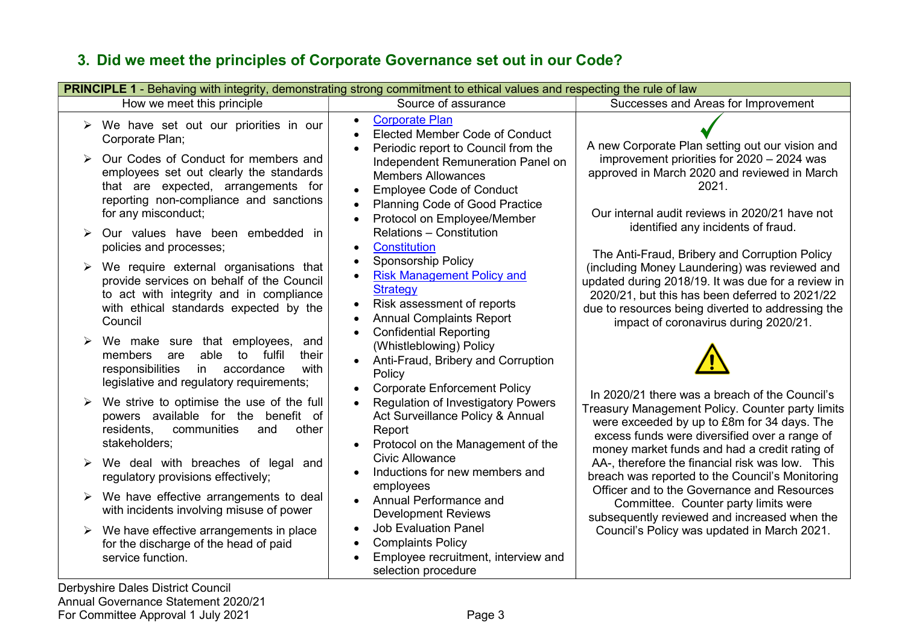# 3. Did we meet the principles of Corporate Governance set out in our Code?

Derbyshire Dales District Council Annual Governance Statement 2020/21 For Committee Approval 1 July 2021 **Page 3**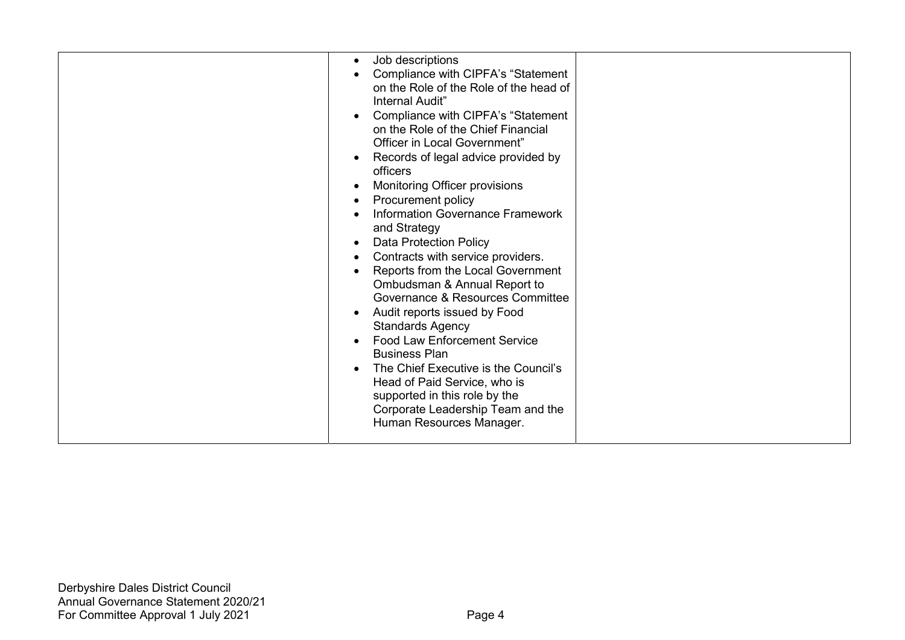| Job descriptions<br>Compliance with CIPFA's "Statement<br>on the Role of the Role of the head of<br>Internal Audit"<br>Compliance with CIPFA's "Statement<br>on the Role of the Chief Financial<br>Officer in Local Government"<br>Records of legal advice provided by<br>officers<br>Monitoring Officer provisions<br>Procurement policy<br><b>Information Governance Framework</b><br>and Strategy<br><b>Data Protection Policy</b><br>Contracts with service providers.<br>Reports from the Local Government<br>Ombudsman & Annual Report to<br>Governance & Resources Committee<br>Audit reports issued by Food<br><b>Standards Agency</b><br><b>Food Law Enforcement Service</b><br><b>Business Plan</b><br>The Chief Executive is the Council's<br>Head of Paid Service, who is<br>supported in this role by the<br>Corporate Leadership Team and the<br>Human Resources Manager. |  |
|-----------------------------------------------------------------------------------------------------------------------------------------------------------------------------------------------------------------------------------------------------------------------------------------------------------------------------------------------------------------------------------------------------------------------------------------------------------------------------------------------------------------------------------------------------------------------------------------------------------------------------------------------------------------------------------------------------------------------------------------------------------------------------------------------------------------------------------------------------------------------------------------|--|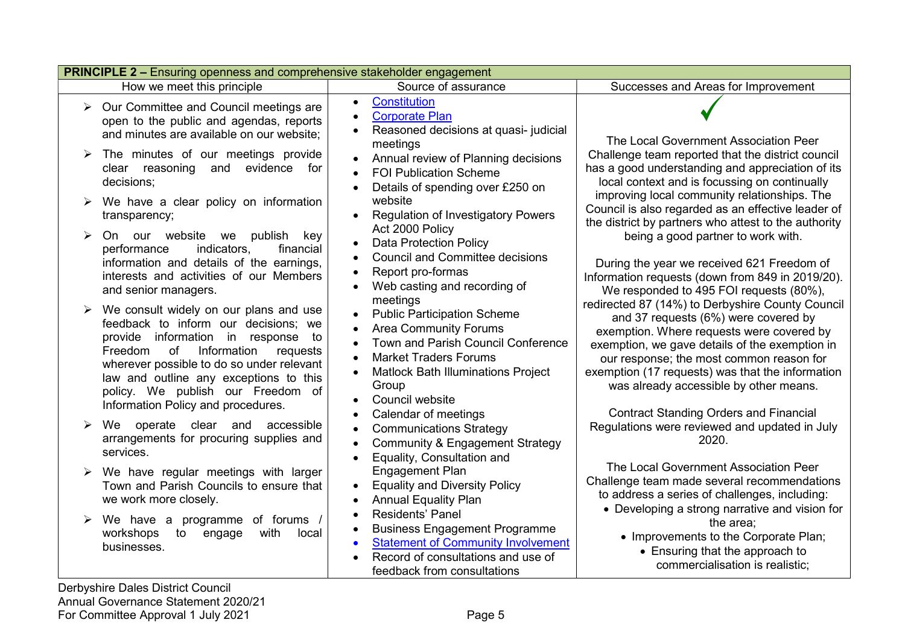| <b>PRINCIPLE 2 - Ensuring openness and comprehensive stakeholder engagement</b> |                                                                                                                                                                                                                                                                                                                                                                          |                                                                                                                                                                                                                                                                  |                                                                                                                                                                                                                                                                                                                                                                                                                                     |  |
|---------------------------------------------------------------------------------|--------------------------------------------------------------------------------------------------------------------------------------------------------------------------------------------------------------------------------------------------------------------------------------------------------------------------------------------------------------------------|------------------------------------------------------------------------------------------------------------------------------------------------------------------------------------------------------------------------------------------------------------------|-------------------------------------------------------------------------------------------------------------------------------------------------------------------------------------------------------------------------------------------------------------------------------------------------------------------------------------------------------------------------------------------------------------------------------------|--|
|                                                                                 | How we meet this principle                                                                                                                                                                                                                                                                                                                                               | Source of assurance                                                                                                                                                                                                                                              | Successes and Areas for Improvement                                                                                                                                                                                                                                                                                                                                                                                                 |  |
|                                                                                 | $\triangleright$ Our Committee and Council meetings are<br>open to the public and agendas, reports<br>and minutes are available on our website;<br>The minutes of our meetings provide<br>clear reasoning and evidence<br>for<br>decisions;                                                                                                                              | <b>Constitution</b><br>$\bullet$<br><b>Corporate Plan</b><br>$\bullet$<br>Reasoned decisions at quasi-judicial<br>$\bullet$<br>meetings<br>Annual review of Planning decisions<br>$\bullet$<br><b>FOI Publication Scheme</b><br>Details of spending over £250 on | The Local Government Association Peer<br>Challenge team reported that the district council<br>has a good understanding and appreciation of its<br>local context and is focussing on continually                                                                                                                                                                                                                                     |  |
| ➤                                                                               | We have a clear policy on information<br>transparency;<br>our website we<br>On<br>publish<br>key<br>indicators,<br>financial<br>performance<br>information and details of the earnings,<br>interests and activities of our Members<br>and senior managers.                                                                                                               | website<br><b>Regulation of Investigatory Powers</b><br>$\bullet$<br>Act 2000 Policy<br><b>Data Protection Policy</b><br><b>Council and Committee decisions</b><br>Report pro-formas<br>Web casting and recording of<br>meetings                                 | improving local community relationships. The<br>Council is also regarded as an effective leader of<br>the district by partners who attest to the authority<br>being a good partner to work with.<br>During the year we received 621 Freedom of<br>Information requests (down from 849 in 2019/20).<br>We responded to 495 FOI requests (80%),                                                                                       |  |
|                                                                                 | We consult widely on our plans and use<br>feedback to inform our decisions; we<br>provide information in response<br>to<br>of<br>Information<br>Freedom<br>requests<br>wherever possible to do so under relevant<br>law and outline any exceptions to this<br>policy. We publish our Freedom of<br>Information Policy and procedures.<br>We operate clear and accessible | <b>Public Participation Scheme</b><br><b>Area Community Forums</b><br><b>Town and Parish Council Conference</b><br><b>Market Traders Forums</b><br>Matlock Bath Illuminations Project<br>Group<br>Council website<br>Calendar of meetings                        | redirected 87 (14%) to Derbyshire County Council<br>and 37 requests (6%) were covered by<br>exemption. Where requests were covered by<br>exemption, we gave details of the exemption in<br>our response; the most common reason for<br>exemption (17 requests) was that the information<br>was already accessible by other means.<br><b>Contract Standing Orders and Financial</b><br>Regulations were reviewed and updated in July |  |
|                                                                                 | arrangements for procuring supplies and<br>services.                                                                                                                                                                                                                                                                                                                     | <b>Communications Strategy</b><br>$\bullet$<br><b>Community &amp; Engagement Strategy</b><br>$\bullet$<br>Equality, Consultation and<br>$\bullet$                                                                                                                | 2020.                                                                                                                                                                                                                                                                                                                                                                                                                               |  |
|                                                                                 | We have regular meetings with larger<br>Town and Parish Councils to ensure that<br>we work more closely.                                                                                                                                                                                                                                                                 | Engagement Plan<br><b>Equality and Diversity Policy</b><br>$\bullet$<br><b>Annual Equality Plan</b>                                                                                                                                                              | The Local Government Association Peer<br>Challenge team made several recommendations<br>to address a series of challenges, including:<br>• Developing a strong narrative and vision for                                                                                                                                                                                                                                             |  |
|                                                                                 | We have a programme of forums /<br>with<br>workshops<br>to<br>engage<br>local<br>businesses.                                                                                                                                                                                                                                                                             | Residents' Panel<br><b>Business Engagement Programme</b><br><b>Statement of Community Involvement</b><br>Record of consultations and use of<br>feedback from consultations                                                                                       | the area:<br>• Improvements to the Corporate Plan;<br>• Ensuring that the approach to<br>commercialisation is realistic;                                                                                                                                                                                                                                                                                                            |  |

Derbyshire Dales District Council Annual Governance Statement 2020/21 For Committee Approval 1 July 2021 **Page 5**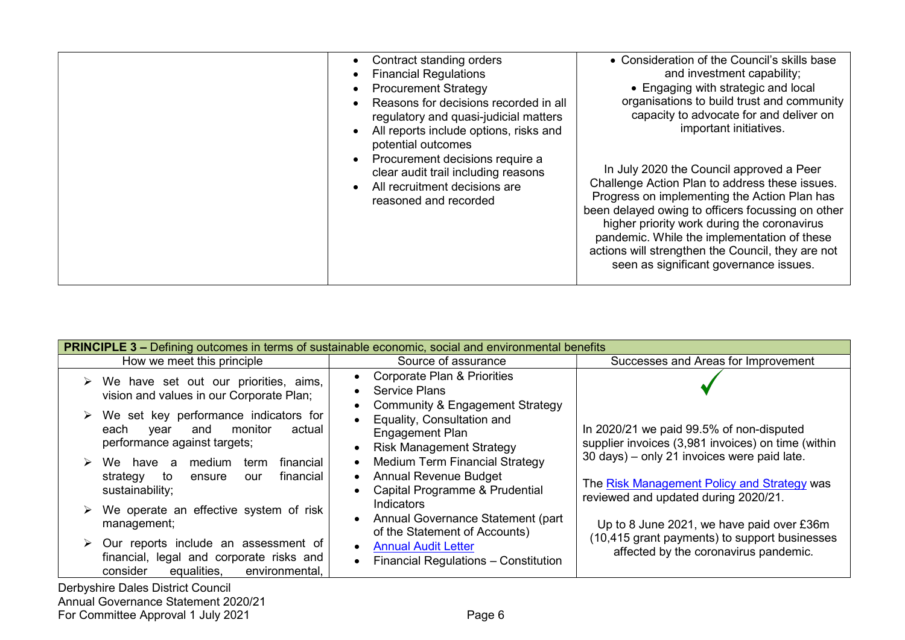| Contract standing orders<br><b>Financial Regulations</b><br><b>Procurement Strategy</b><br>Reasons for decisions recorded in all<br>regulatory and quasi-judicial matters<br>All reports include options, risks and<br>potential outcomes | • Consideration of the Council's skills base<br>and investment capability;<br>• Engaging with strategic and local<br>organisations to build trust and community<br>capacity to advocate for and deliver on<br>important initiatives.                                                                                                                                                         |
|-------------------------------------------------------------------------------------------------------------------------------------------------------------------------------------------------------------------------------------------|----------------------------------------------------------------------------------------------------------------------------------------------------------------------------------------------------------------------------------------------------------------------------------------------------------------------------------------------------------------------------------------------|
| • Procurement decisions require a<br>clear audit trail including reasons<br>All recruitment decisions are<br>reasoned and recorded                                                                                                        | In July 2020 the Council approved a Peer<br>Challenge Action Plan to address these issues.<br>Progress on implementing the Action Plan has<br>been delayed owing to officers focussing on other<br>higher priority work during the coronavirus<br>pandemic. While the implementation of these<br>actions will strengthen the Council, they are not<br>seen as significant governance issues. |

| <b>PRINCIPLE 3 –</b> Defining outcomes in terms of sustainable economic, social and environmental benefits                                                                                                                    |                                                                                                                                                                                                               |  |  |
|-------------------------------------------------------------------------------------------------------------------------------------------------------------------------------------------------------------------------------|---------------------------------------------------------------------------------------------------------------------------------------------------------------------------------------------------------------|--|--|
| How we meet this principle<br>Source of assurance                                                                                                                                                                             | Successes and Areas for Improvement                                                                                                                                                                           |  |  |
| <b>Corporate Plan &amp; Priorities</b><br>$\triangleright$ We have set out our priorities, aims,<br><b>Service Plans</b><br>vision and values in our Corporate Plan;                                                          | Community & Engagement Strategy                                                                                                                                                                               |  |  |
| $\triangleright$ We set key performance indicators for<br>Equality, Consultation and<br>monitor<br>actual<br>each<br>and<br>vear<br><b>Engagement Plan</b><br>performance against targets;<br><b>Risk Management Strategy</b> | In 2020/21 we paid 99.5% of non-disputed<br>supplier invoices (3,981 invoices) on time (within                                                                                                                |  |  |
| financial<br>We have a medium<br>term<br><b>Annual Revenue Budget</b><br>financial<br>strategy<br>to<br>ensure<br>our<br>sustainability;                                                                                      | 30 days) - only 21 invoices were paid late.<br><b>Medium Term Financial Strategy</b><br>The Risk Management Policy and Strategy was<br>Capital Programme & Prudential<br>reviewed and updated during 2020/21. |  |  |
| Indicators<br>We operate an effective system of risk<br>management;<br>of the Statement of Accounts)                                                                                                                          | Annual Governance Statement (part<br>Up to 8 June 2021, we have paid over £36m                                                                                                                                |  |  |
| Our reports include an assessment of<br><b>Annual Audit Letter</b><br>financial, legal and corporate risks and<br>equalities,<br>consider<br>environmental,                                                                   | (10,415 grant payments) to support businesses<br>affected by the coronavirus pandemic.<br>Financial Regulations - Constitution                                                                                |  |  |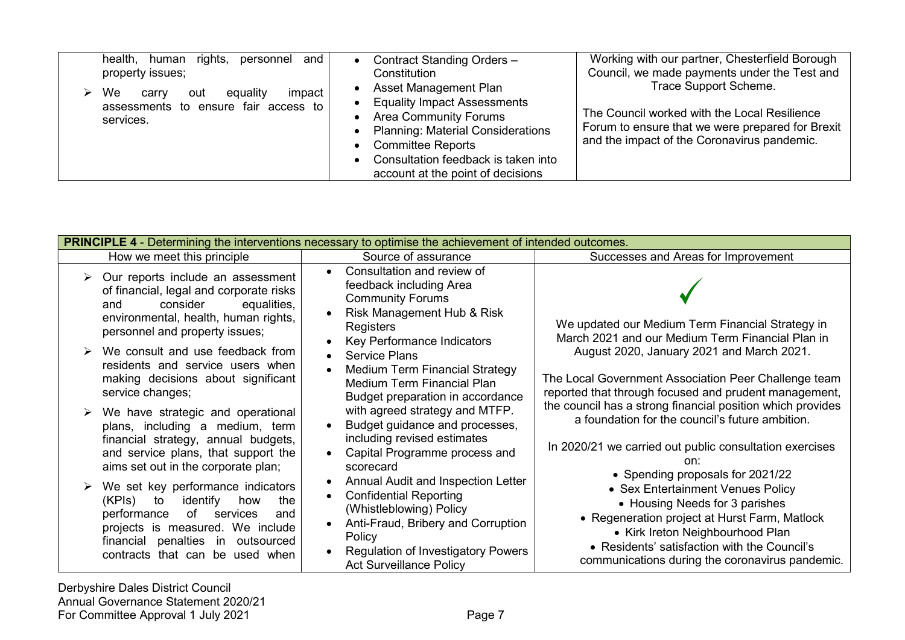| rights,<br>and<br>health, human<br>personnel<br>property issues;<br>We<br>impact  <br>equality<br>carry<br>out<br>assessments to ensure fair access to<br>services. | Contract Standing Orders -<br>$\bullet$<br>Constitution<br>Asset Management Plan<br>$\bullet$<br><b>Equality Impact Assessments</b><br>$\bullet$<br><b>Area Community Forums</b><br>$\bullet$<br>• Planning: Material Considerations<br>• Committee Reports<br>Consultation feedback is taken into<br>$\bullet$<br>account at the point of decisions | Working with our partner, Chesterfield Borough<br>Council, we made payments under the Test and<br>Trace Support Scheme.<br>The Council worked with the Local Resilience<br>Forum to ensure that we were prepared for Brexit<br>and the impact of the Coronavirus pandemic. |
|---------------------------------------------------------------------------------------------------------------------------------------------------------------------|------------------------------------------------------------------------------------------------------------------------------------------------------------------------------------------------------------------------------------------------------------------------------------------------------------------------------------------------------|----------------------------------------------------------------------------------------------------------------------------------------------------------------------------------------------------------------------------------------------------------------------------|
|---------------------------------------------------------------------------------------------------------------------------------------------------------------------|------------------------------------------------------------------------------------------------------------------------------------------------------------------------------------------------------------------------------------------------------------------------------------------------------------------------------------------------------|----------------------------------------------------------------------------------------------------------------------------------------------------------------------------------------------------------------------------------------------------------------------------|

| <b>PRINCIPLE 4 -</b> Determining the interventions necessary to optimise the achievement of intended outcomes. |                                                                                                                                                                                                                                                                                                                            |                                                                                                                                                                                                                                                                                                                                                                                                                                                                                                                                                                                                     |  |
|----------------------------------------------------------------------------------------------------------------|----------------------------------------------------------------------------------------------------------------------------------------------------------------------------------------------------------------------------------------------------------------------------------------------------------------------------|-----------------------------------------------------------------------------------------------------------------------------------------------------------------------------------------------------------------------------------------------------------------------------------------------------------------------------------------------------------------------------------------------------------------------------------------------------------------------------------------------------------------------------------------------------------------------------------------------------|--|
|                                                                                                                | How we meet this principle                                                                                                                                                                                                                                                                                                 | Source of assurance<br>Successes and Areas for Improvement                                                                                                                                                                                                                                                                                                                                                                                                                                                                                                                                          |  |
|                                                                                                                | Our reports include an assessment<br>of financial, legal and corporate risks<br>consider<br>equalities,<br>and<br>environmental, health, human rights,<br>personnel and property issues;<br>We consult and use feedback from<br>residents and service users when<br>making decisions about significant<br>service changes; | Consultation and review of<br>$\bullet$<br>feedback including Area<br><b>Community Forums</b><br>Risk Management Hub & Risk<br>We updated our Medium Term Financial Strategy in<br>Registers<br>March 2021 and our Medium Term Financial Plan in<br>Key Performance Indicators<br>August 2020, January 2021 and March 2021.<br><b>Service Plans</b><br>$\bullet$<br><b>Medium Term Financial Strategy</b><br>The Local Government Association Peer Challenge team<br><b>Medium Term Financial Plan</b><br>reported that through focused and prudent management,<br>Budget preparation in accordance |  |
|                                                                                                                | We have strategic and operational<br>plans, including a medium, term<br>financial strategy, annual budgets,<br>and service plans, that support the<br>aims set out in the corporate plan;                                                                                                                                  | the council has a strong financial position which provides<br>with agreed strategy and MTFP.<br>a foundation for the council's future ambition.<br>Budget guidance and processes,<br>$\bullet$<br>including revised estimates<br>In 2020/21 we carried out public consultation exercises<br>Capital Programme process and<br>$\bullet$<br>on:<br>scorecard<br>• Spending proposals for 2021/22                                                                                                                                                                                                      |  |
|                                                                                                                | We set key performance indicators<br>(KPIs)<br>identify<br>to<br>how<br>the<br>of<br>services<br>performance<br>and<br>projects is measured. We include<br>financial penalties<br>in<br>outsourced<br>contracts that can be used when                                                                                      | Annual Audit and Inspection Letter<br>• Sex Entertainment Venues Policy<br><b>Confidential Reporting</b><br>$\bullet$<br>• Housing Needs for 3 parishes<br>(Whistleblowing) Policy<br>• Regeneration project at Hurst Farm, Matlock<br>Anti-Fraud, Bribery and Corruption<br>• Kirk Ireton Neighbourhood Plan<br>Policy<br>• Residents' satisfaction with the Council's<br>Regulation of Investigatory Powers<br>communications during the coronavirus pandemic.<br><b>Act Surveillance Policy</b>                                                                                                  |  |

Derbyshire Dales District Council Annual Governance Statement 2020/21 For Committee Approval 1 July 2021 **Page 7** Page 7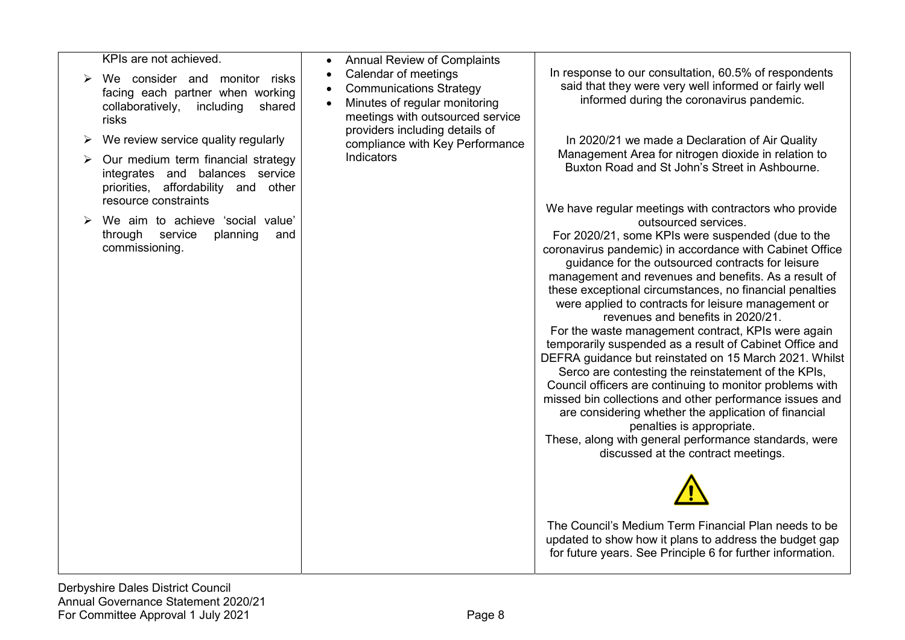KPIs are not achieved.

- $\triangleright$  We consider and monitor risks facing each partner when working collaboratively, including shared risks
- $\triangleright$  We review service quality regularly
- $\triangleright$  Our medium term financial strategy integrates and balances service priorities, affordability and other resource constraints
- $\triangleright$  We aim to achieve 'social value' through service planning and commissioning.
- Annual Review of Complaints
- Calendar of meetings
- Communications Strategy
- Minutes of regular monitoring meetings with outsourced service providers including details of compliance with Key Performance Indicators

In response to our consultation, 60.5% of respondents said that they were very well informed or fairly well informed during the coronavirus pandemic.

In 2020/21 we made a Declaration of Air Quality Management Area for nitrogen dioxide in relation to Buxton Road and St John's Street in Ashbourne.

We have regular meetings with contractors who provide outsourced services.

For 2020/21, some KPIs were suspended (due to the coronavirus pandemic) in accordance with Cabinet Office guidance for the outsourced contracts for leisure management and revenues and benefits. As a result of these exceptional circumstances, no financial penalties were applied to contracts for leisure management or revenues and benefits in 2020/21.

For the waste management contract, KPIs were again temporarily suspended as a result of Cabinet Office and DEFRA guidance but reinstated on 15 March 2021. Whilst

Serco are contesting the reinstatement of the KPIs, Council officers are continuing to monitor problems with missed bin collections and other performance issues and are considering whether the application of financial penalties is appropriate.

These, along with general performance standards, were discussed at the contract meetings.



The Council's Medium Term Financial Plan needs to be updated to show how it plans to address the budget gap for future years. See Principle 6 for further information.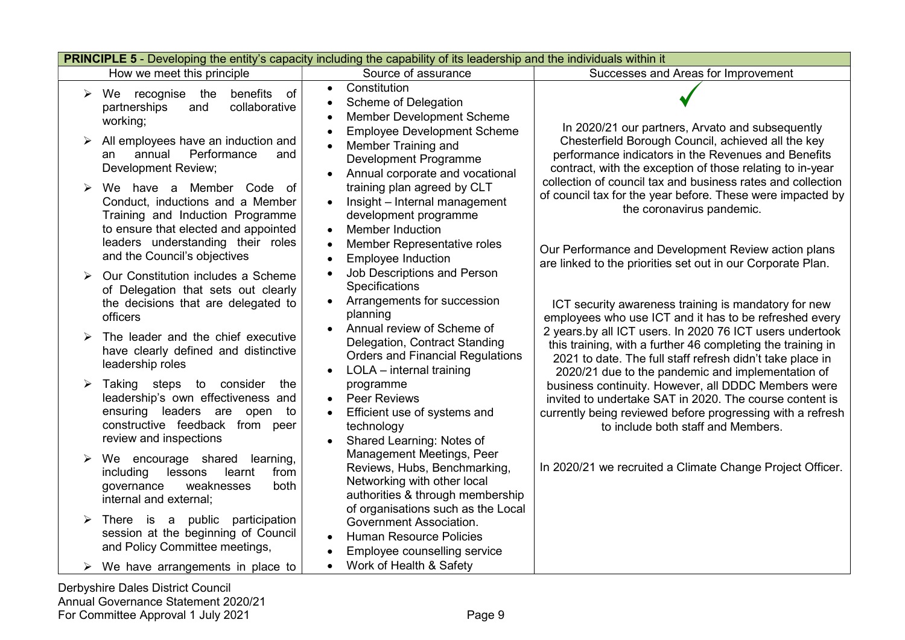| <b>PRINCIPLE 5</b> - Developing the entity's capacity including the capability of its leadership and the individuals within it |                                                                                                                                                                               |                                                                                                                                                                           |                                                                                                                                                                                                                                           |  |
|--------------------------------------------------------------------------------------------------------------------------------|-------------------------------------------------------------------------------------------------------------------------------------------------------------------------------|---------------------------------------------------------------------------------------------------------------------------------------------------------------------------|-------------------------------------------------------------------------------------------------------------------------------------------------------------------------------------------------------------------------------------------|--|
|                                                                                                                                | How we meet this principle                                                                                                                                                    | Source of assurance                                                                                                                                                       | Successes and Areas for Improvement                                                                                                                                                                                                       |  |
| ➤                                                                                                                              | We recognise the<br>benefits<br>$\circ$ of<br>partnerships<br>collaborative<br>and<br>working;                                                                                | Constitution<br>$\bullet$<br>Scheme of Delegation<br>$\bullet$<br>Member Development Scheme                                                                               | In 2020/21 our partners, Arvato and subsequently                                                                                                                                                                                          |  |
|                                                                                                                                | All employees have an induction and<br>Performance<br>annual<br>and<br>an<br>Development Review;                                                                              | <b>Employee Development Scheme</b><br>Member Training and<br>Development Programme<br>Annual corporate and vocational                                                     | Chesterfield Borough Council, achieved all the key<br>performance indicators in the Revenues and Benefits<br>contract, with the exception of those relating to in-year                                                                    |  |
| ➤                                                                                                                              | We have a Member Code of<br>Conduct, inductions and a Member<br>Training and Induction Programme<br>to ensure that elected and appointed<br>leaders understanding their roles | training plan agreed by CLT<br>Insight - Internal management<br>development programme<br><b>Member Induction</b><br>$\bullet$<br>Member Representative roles<br>$\bullet$ | collection of council tax and business rates and collection<br>of council tax for the year before. These were impacted by<br>the coronavirus pandemic.<br>Our Performance and Development Review action plans                             |  |
|                                                                                                                                | and the Council's objectives<br>Our Constitution includes a Scheme                                                                                                            | <b>Employee Induction</b><br>$\bullet$<br>Job Descriptions and Person<br>Specifications                                                                                   | are linked to the priorities set out in our Corporate Plan.                                                                                                                                                                               |  |
|                                                                                                                                | of Delegation that sets out clearly<br>the decisions that are delegated to<br>officers                                                                                        | Arrangements for succession<br>$\bullet$<br>planning                                                                                                                      | ICT security awareness training is mandatory for new<br>employees who use ICT and it has to be refreshed every                                                                                                                            |  |
| ≻                                                                                                                              | The leader and the chief executive<br>have clearly defined and distinctive<br>leadership roles                                                                                | Annual review of Scheme of<br>Delegation, Contract Standing<br><b>Orders and Financial Regulations</b><br>LOLA - internal training                                        | 2 years.by all ICT users. In 2020 76 ICT users undertook<br>this training, with a further 46 completing the training in<br>2021 to date. The full staff refresh didn't take place in<br>2020/21 due to the pandemic and implementation of |  |
|                                                                                                                                | Taking steps to consider<br>the<br>leadership's own effectiveness and<br>ensuring leaders are open<br>to<br>constructive feedback from peer<br>review and inspections         | programme<br><b>Peer Reviews</b><br>Efficient use of systems and<br>$\bullet$<br>technology<br>Shared Learning: Notes of                                                  | business continuity. However, all DDDC Members were<br>invited to undertake SAT in 2020. The course content is<br>currently being reviewed before progressing with a refresh<br>to include both staff and Members.                        |  |
| ➤                                                                                                                              | We encourage shared learning,<br>including<br>lessons<br>learnt<br>from<br>weaknesses<br>governance<br>both<br>internal and external;                                         | Management Meetings, Peer<br>Reviews, Hubs, Benchmarking,<br>Networking with other local<br>authorities & through membership<br>of organisations such as the Local        | In 2020/21 we recruited a Climate Change Project Officer.                                                                                                                                                                                 |  |
| ➤                                                                                                                              | There is a public participation<br>session at the beginning of Council<br>and Policy Committee meetings,                                                                      | Government Association.<br><b>Human Resource Policies</b><br>Employee counselling service<br>$\bullet$                                                                    |                                                                                                                                                                                                                                           |  |
|                                                                                                                                | We have arrangements in place to                                                                                                                                              | Work of Health & Safety<br>$\bullet$                                                                                                                                      |                                                                                                                                                                                                                                           |  |
|                                                                                                                                | Derbyshire Dales District Council                                                                                                                                             |                                                                                                                                                                           |                                                                                                                                                                                                                                           |  |

Annual Governance Statement 2020/21 For Committee Approval 1 July 2021 **Page 9**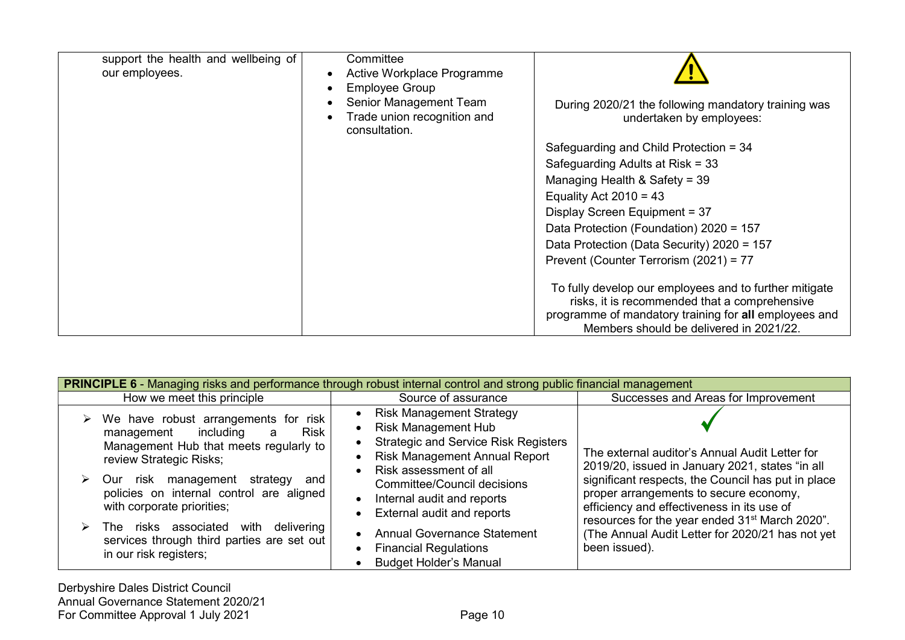| support the health and wellbeing of<br>our employees. | Committee<br>Active Workplace Programme<br><b>Employee Group</b><br>Senior Management Team<br>Trade union recognition and | During 2020/21 the following mandatory training was<br>undertaken by employees:                                                                                                                             |
|-------------------------------------------------------|---------------------------------------------------------------------------------------------------------------------------|-------------------------------------------------------------------------------------------------------------------------------------------------------------------------------------------------------------|
|                                                       | consultation.                                                                                                             |                                                                                                                                                                                                             |
|                                                       |                                                                                                                           | Safeguarding and Child Protection = 34                                                                                                                                                                      |
|                                                       |                                                                                                                           | Safeguarding Adults at Risk = 33                                                                                                                                                                            |
|                                                       |                                                                                                                           | Managing Health & Safety = 39                                                                                                                                                                               |
|                                                       |                                                                                                                           | Equality Act $2010 = 43$                                                                                                                                                                                    |
|                                                       |                                                                                                                           | Display Screen Equipment = 37                                                                                                                                                                               |
|                                                       |                                                                                                                           | Data Protection (Foundation) 2020 = 157                                                                                                                                                                     |
|                                                       |                                                                                                                           | Data Protection (Data Security) 2020 = 157                                                                                                                                                                  |
|                                                       |                                                                                                                           | Prevent (Counter Terrorism (2021) = 77                                                                                                                                                                      |
|                                                       |                                                                                                                           | To fully develop our employees and to further mitigate<br>risks, it is recommended that a comprehensive<br>programme of mandatory training for all employees and<br>Members should be delivered in 2021/22. |

| <b>PRINCIPLE 6 - Managing risks and performance through robust internal control and strong public financial management</b> |                                                                                                                                                                                                                                                                                        |                                                                                                                                                                                                                                                                                                            |                                                                                                                                                                                                                                                                                                               |
|----------------------------------------------------------------------------------------------------------------------------|----------------------------------------------------------------------------------------------------------------------------------------------------------------------------------------------------------------------------------------------------------------------------------------|------------------------------------------------------------------------------------------------------------------------------------------------------------------------------------------------------------------------------------------------------------------------------------------------------------|---------------------------------------------------------------------------------------------------------------------------------------------------------------------------------------------------------------------------------------------------------------------------------------------------------------|
|                                                                                                                            | How we meet this principle                                                                                                                                                                                                                                                             | Source of assurance                                                                                                                                                                                                                                                                                        | Successes and Areas for Improvement                                                                                                                                                                                                                                                                           |
| ➤                                                                                                                          | $\triangleright$ We have robust arrangements for risk<br>including<br>Risk<br>management<br>a<br>Management Hub that meets regularly to<br>review Strategic Risks;<br>management strategy<br>Our risk<br>and<br>policies on internal control are aligned<br>with corporate priorities; | <b>Risk Management Strategy</b><br><b>Risk Management Hub</b><br>$\bullet$<br><b>Strategic and Service Risk Registers</b><br><b>Risk Management Annual Report</b><br>Risk assessment of all<br><b>Committee/Council decisions</b><br>Internal audit and reports<br>$\bullet$<br>External audit and reports | The external auditor's Annual Audit Letter for<br>2019/20, issued in January 2021, states "in all<br>significant respects, the Council has put in place<br>proper arrangements to secure economy,<br>efficiency and effectiveness in its use of<br>resources for the year ended 31 <sup>st</sup> March 2020". |
|                                                                                                                            | The risks associated with delivering<br>services through third parties are set out<br>in our risk registers;                                                                                                                                                                           | <b>Annual Governance Statement</b><br><b>Financial Regulations</b><br>$\bullet$<br><b>Budget Holder's Manual</b>                                                                                                                                                                                           | The Annual Audit Letter for 2020/21 has not yet<br>been issued).                                                                                                                                                                                                                                              |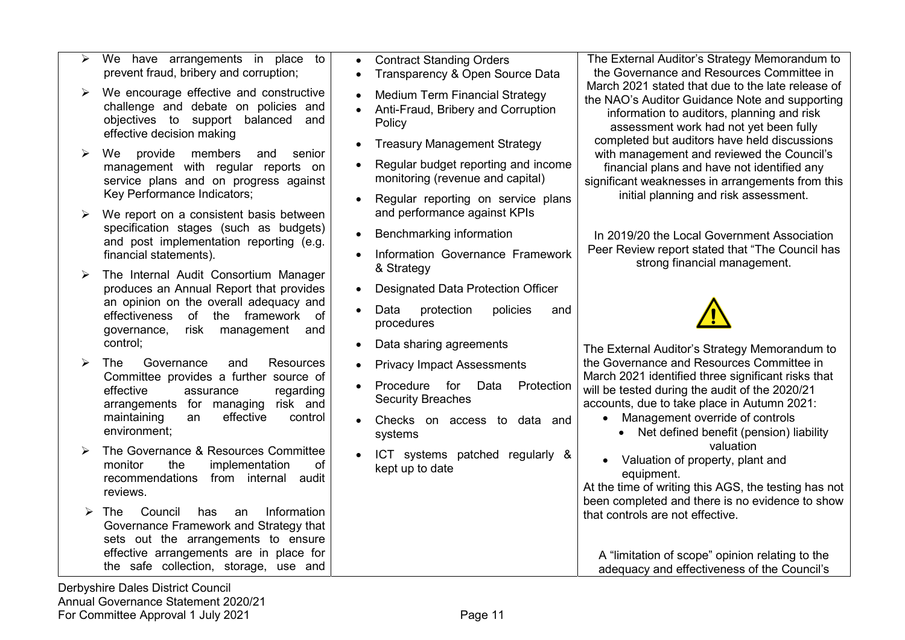- $\triangleright$  We have arrangements in place to prevent fraud, bribery and corruption;
- $\triangleright$  We encourage effective and constructive challenge and debate on policies and objectives to support balanced and effective decision making
- $\triangleright$  We provide members and senior management with regular reports on service plans and on progress against Key Performance Indicators;
- $\triangleright$  We report on a consistent basis between specification stages (such as budgets) and post implementation reporting (e.g. financial statements).
- $\triangleright$  The Internal Audit Consortium Manager produces an Annual Report that provides an opinion on the overall adequacy and effectiveness of the framework of governance, risk management and control;
- > The Governance and Resources Committee provides a further source of effective assurance regarding arrangements for managing risk and maintaining an effective control environment;
- > The Governance & Resources Committee monitor the implementation of recommendations from internal audit reviews.
- The Council has an Information Governance Framework and Strategy that sets out the arrangements to ensure effective arrangements are in place for the safe collection, storage, use and
- Contract Standing Orders
- Transparency & Open Source Data
- Medium Term Financial Strategy
- Anti-Fraud, Bribery and Corruption **Policy**
- Treasury Management Strategy
- Regular budget reporting and income monitoring (revenue and capital)
- Regular reporting on service plans and performance against KPIs
- Benchmarking information
- Information Governance Framework & Strategy
- Designated Data Protection Officer
- Data protection policies and procedures
- Data sharing agreements
- Privacy Impact Assessments
- Procedure for Data Protection Security Breaches
- Checks on access to data and systems
- ICT systems patched regularly & kept up to date

The External Auditor's Strategy Memorandum to the Governance and Resources Committee in March 2021 stated that due to the late release of the NAO's Auditor Guidance Note and supporting information to auditors, planning and risk assessment work had not yet been fully completed but auditors have held discussions with management and reviewed the Council's financial plans and have not identified any significant weaknesses in arrangements from this initial planning and risk assessment.

In 2019/20 the Local Government Association Peer Review report stated that "The Council has strong financial management.



The External Auditor's Strategy Memorandum to the Governance and Resources Committee in March 2021 identified three significant risks that will be tested during the audit of the 2020/21 accounts, due to take place in Autumn 2021:

- Management override of controls
	- Net defined benefit (pension) liability valuation
- Valuation of property, plant and equipment.

At the time of writing this AGS, the testing has not been completed and there is no evidence to show that controls are not effective.

A "limitation of scope" opinion relating to the adequacy and effectiveness of the Council's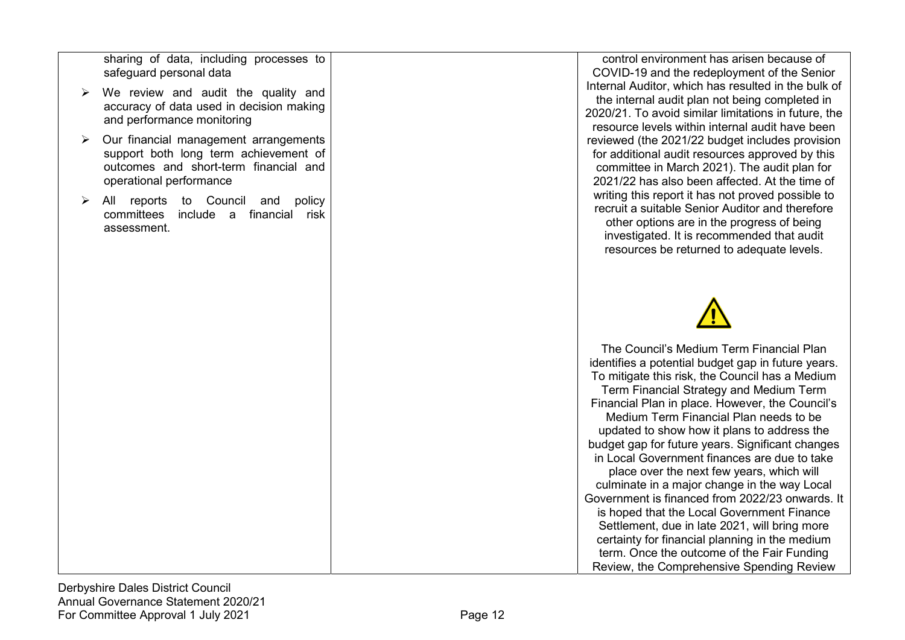sharing of data, including processes to safeguard personal data

- $\triangleright$  We review and audit the quality and accuracy of data used in decision making and performance monitoring
- $\triangleright$  Our financial management arrangements support both long term achievement of outcomes and short-term financial and operational performance
- $\triangleright$  All reports to Council and policy committees include a financial risk assessment.

control environment has arisen because of COVID-19 and the redeployment of the Senior Internal Auditor, which has resulted in the bulk of the internal audit plan not being completed in 2020/21. To avoid similar limitations in future, the resource levels within internal audit have been reviewed (the 2021/22 budget includes provision for additional audit resources approved by this committee in March 2021). The audit plan for 2021/22 has also been affected. At the time of writing this report it has not proved possible to recruit a suitable Senior Auditor and therefore other options are in the progress of being investigated. It is recommended that audit resources be returned to adequate levels.



The Council's Medium Term Financial Plan identifies a potential budget gap in future years. To mitigate this risk, the Council has a Medium Term Financial Strategy and Medium Term Financial Plan in place. However, the Council's Medium Term Financial Plan needs to be updated to show how it plans to address the budget gap for future years. Significant changes in Local Government finances are due to take place over the next few years, which will culminate in a major change in the way Local Government is financed from 2022/23 onwards. It is hoped that the Local Government Finance Settlement, due in late 2021, will bring more certainty for financial planning in the medium term. Once the outcome of the Fair Funding Review, the Comprehensive Spending Review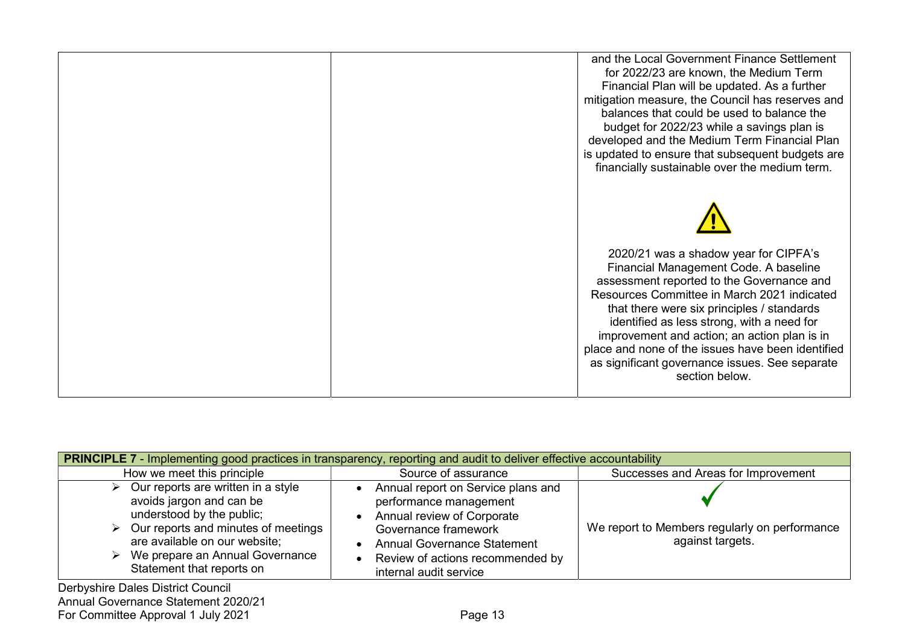| and the Local Government Finance Settlement<br>for 2022/23 are known, the Medium Term<br>Financial Plan will be updated. As a further<br>mitigation measure, the Council has reserves and<br>balances that could be used to balance the<br>budget for 2022/23 while a savings plan is<br>developed and the Medium Term Financial Plan<br>is updated to ensure that subsequent budgets are<br>financially sustainable over the medium term.      |
|-------------------------------------------------------------------------------------------------------------------------------------------------------------------------------------------------------------------------------------------------------------------------------------------------------------------------------------------------------------------------------------------------------------------------------------------------|
| 2020/21 was a shadow year for CIPFA's<br>Financial Management Code. A baseline<br>assessment reported to the Governance and<br>Resources Committee in March 2021 indicated<br>that there were six principles / standards<br>identified as less strong, with a need for<br>improvement and action; an action plan is in<br>place and none of the issues have been identified<br>as significant governance issues. See separate<br>section below. |

| <b>PRINCIPLE 7 - Implementing good practices in transparency, reporting and audit to deliver effective accountability</b>                                                                                                                          |                                                                                                                                                                                                                                     |                                                                   |  |
|----------------------------------------------------------------------------------------------------------------------------------------------------------------------------------------------------------------------------------------------------|-------------------------------------------------------------------------------------------------------------------------------------------------------------------------------------------------------------------------------------|-------------------------------------------------------------------|--|
| How we meet this principle                                                                                                                                                                                                                         | Source of assurance                                                                                                                                                                                                                 | Successes and Areas for Improvement                               |  |
| Our reports are written in a style<br>⋗<br>avoids jargon and can be<br>understood by the public;<br>Our reports and minutes of meetings<br>➤<br>are available on our website;<br>We prepare an Annual Governance<br>⋗<br>Statement that reports on | Annual report on Service plans and<br>performance management<br>Annual review of Corporate<br>Governance framework<br><b>Annual Governance Statement</b><br>Review of actions recommended by<br>$\bullet$<br>internal audit service | We report to Members regularly on performance<br>against targets. |  |
| Derbyshire Dales District Council                                                                                                                                                                                                                  |                                                                                                                                                                                                                                     |                                                                   |  |

Annual Governance Statement 2020/21 For Committee Approval 1 July 2021 **Page 13**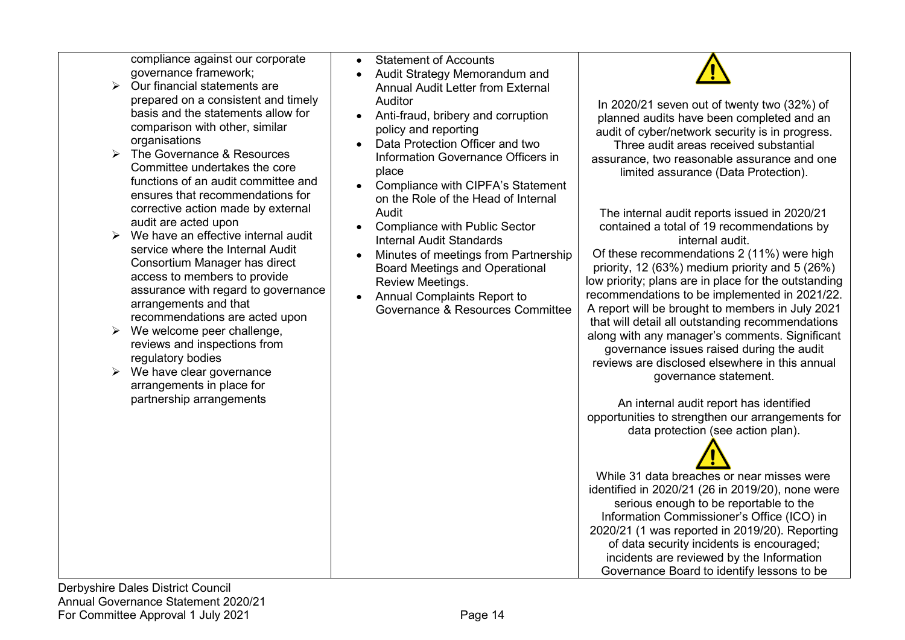compliance against our corporate governance framework;

- $\triangleright$  Our financial statements are prepared on a consistent and timely basis and the statements allow for comparison with other, similar organisations
- $\triangleright$  The Governance & Resources Committee undertakes the core functions of an audit committee and ensures that recommendations for corrective action made by external audit are acted upon
- $\triangleright$  We have an effective internal audit service where the Internal Audit Consortium Manager has direct access to members to provide assurance with regard to governance arrangements and that recommendations are acted upon
- $\triangleright$  We welcome peer challenge, reviews and inspections from regulatory bodies
- $\triangleright$  We have clear governance arrangements in place for partnership arrangements
- Statement of Accounts
- Audit Strategy Memorandum and Annual Audit Letter from External Auditor
- Anti-fraud, bribery and corruption policy and reporting
- Data Protection Officer and two Information Governance Officers in place
- Compliance with CIPFA's Statement on the Role of the Head of Internal Audit
- Compliance with Public Sector Internal Audit Standards
- Minutes of meetings from Partnership Board Meetings and Operational Review Meetings.
- Annual Complaints Report to Governance & Resources Committee



In 2020/21 seven out of twenty two (32%) of planned audits have been completed and an audit of cyber/network security is in progress. Three audit areas received substantial assurance, two reasonable assurance and one limited assurance (Data Protection).

The internal audit reports issued in 2020/21 contained a total of 19 recommendations by internal audit.

Of these recommendations 2 (11%) were high priority, 12 (63%) medium priority and 5 (26%) low priority; plans are in place for the outstanding recommendations to be implemented in 2021/22. A report will be brought to members in July 2021 that will detail all outstanding recommendations along with any manager's comments. Significant governance issues raised during the audit reviews are disclosed elsewhere in this annual governance statement.

An internal audit report has identified opportunities to strengthen our arrangements for data protection (see action plan).

While 31 data breaches or near misses were identified in 2020/21 (26 in 2019/20), none were serious enough to be reportable to the Information Commissioner's Office (ICO) in 2020/21 (1 was reported in 2019/20). Reporting of data security incidents is encouraged; incidents are reviewed by the Information Governance Board to identify lessons to be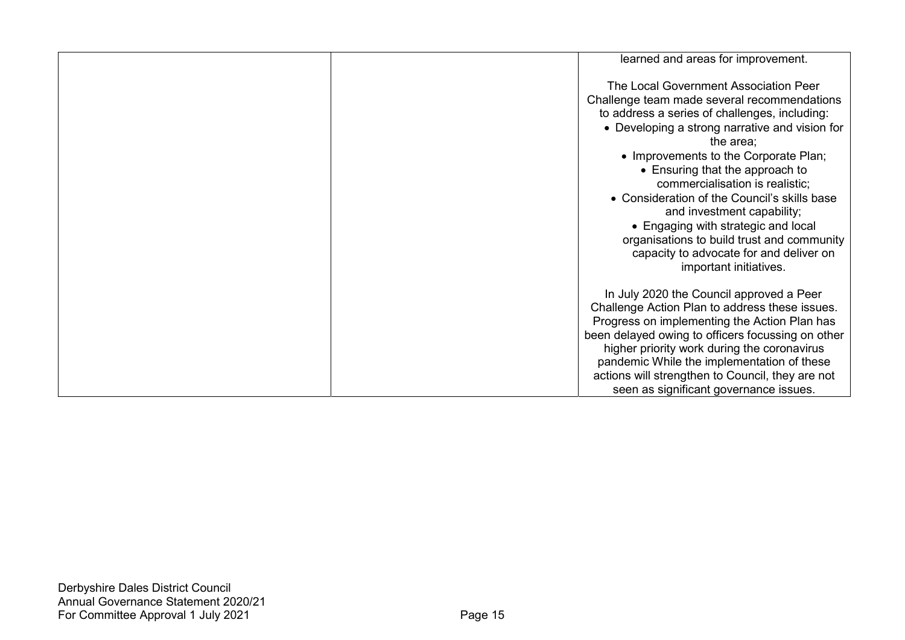| learned and areas for improvement.                                                                |
|---------------------------------------------------------------------------------------------------|
|                                                                                                   |
| The Local Government Association Peer                                                             |
| Challenge team made several recommendations                                                       |
| to address a series of challenges, including:                                                     |
| • Developing a strong narrative and vision for                                                    |
| the area;                                                                                         |
| • Improvements to the Corporate Plan;                                                             |
| • Ensuring that the approach to                                                                   |
| commercialisation is realistic;                                                                   |
| • Consideration of the Council's skills base                                                      |
| and investment capability;                                                                        |
| • Engaging with strategic and local                                                               |
| organisations to build trust and community                                                        |
| capacity to advocate for and deliver on                                                           |
| important initiatives.                                                                            |
|                                                                                                   |
| In July 2020 the Council approved a Peer                                                          |
| Challenge Action Plan to address these issues.                                                    |
| Progress on implementing the Action Plan has<br>been delayed owing to officers focussing on other |
| higher priority work during the coronavirus                                                       |
| pandemic While the implementation of these                                                        |
| actions will strengthen to Council, they are not                                                  |
|                                                                                                   |
| seen as significant governance issues.                                                            |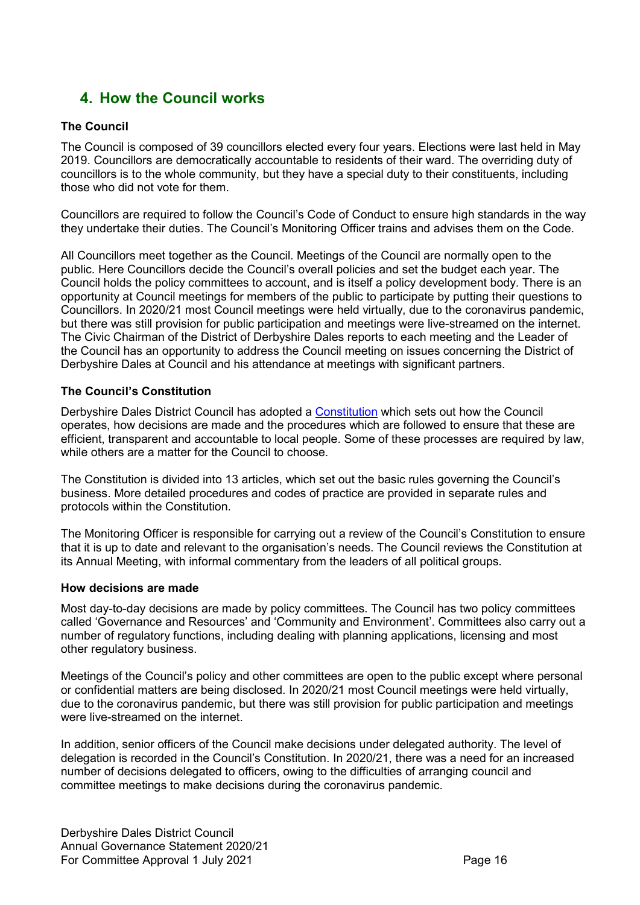# 4. How the Council works

## The Council

The Council is composed of 39 councillors elected every four years. Elections were last held in May 2019. Councillors are democratically accountable to residents of their ward. The overriding duty of councillors is to the whole community, but they have a special duty to their constituents, including those who did not vote for them.

Councillors are required to follow the Council's Code of Conduct to ensure high standards in the way they undertake their duties. The Council's Monitoring Officer trains and advises them on the Code.

All Councillors meet together as the Council. Meetings of the Council are normally open to the public. Here Councillors decide the Council's overall policies and set the budget each year. The Council holds the policy committees to account, and is itself a policy development body. There is an opportunity at Council meetings for members of the public to participate by putting their questions to Councillors. In 2020/21 most Council meetings were held virtually, due to the coronavirus pandemic, but there was still provision for public participation and meetings were live-streamed on the internet. The Civic Chairman of the District of Derbyshire Dales reports to each meeting and the Leader of the Council has an opportunity to address the Council meeting on issues concerning the District of Derbyshire Dales at Council and his attendance at meetings with significant partners.

### The Council's Constitution

Derbyshire Dales District Council has adopted a Constitution which sets out how the Council operates, how decisions are made and the procedures which are followed to ensure that these are efficient, transparent and accountable to local people. Some of these processes are required by law, while others are a matter for the Council to choose.

The Constitution is divided into 13 articles, which set out the basic rules governing the Council's business. More detailed procedures and codes of practice are provided in separate rules and protocols within the Constitution.

The Monitoring Officer is responsible for carrying out a review of the Council's Constitution to ensure that it is up to date and relevant to the organisation's needs. The Council reviews the Constitution at its Annual Meeting, with informal commentary from the leaders of all political groups.

#### How decisions are made

Most day-to-day decisions are made by policy committees. The Council has two policy committees called 'Governance and Resources' and 'Community and Environment'. Committees also carry out a number of regulatory functions, including dealing with planning applications, licensing and most other regulatory business.

Meetings of the Council's policy and other committees are open to the public except where personal or confidential matters are being disclosed. In 2020/21 most Council meetings were held virtually, due to the coronavirus pandemic, but there was still provision for public participation and meetings were live-streamed on the internet.

In addition, senior officers of the Council make decisions under delegated authority. The level of delegation is recorded in the Council's Constitution. In 2020/21, there was a need for an increased number of decisions delegated to officers, owing to the difficulties of arranging council and committee meetings to make decisions during the coronavirus pandemic.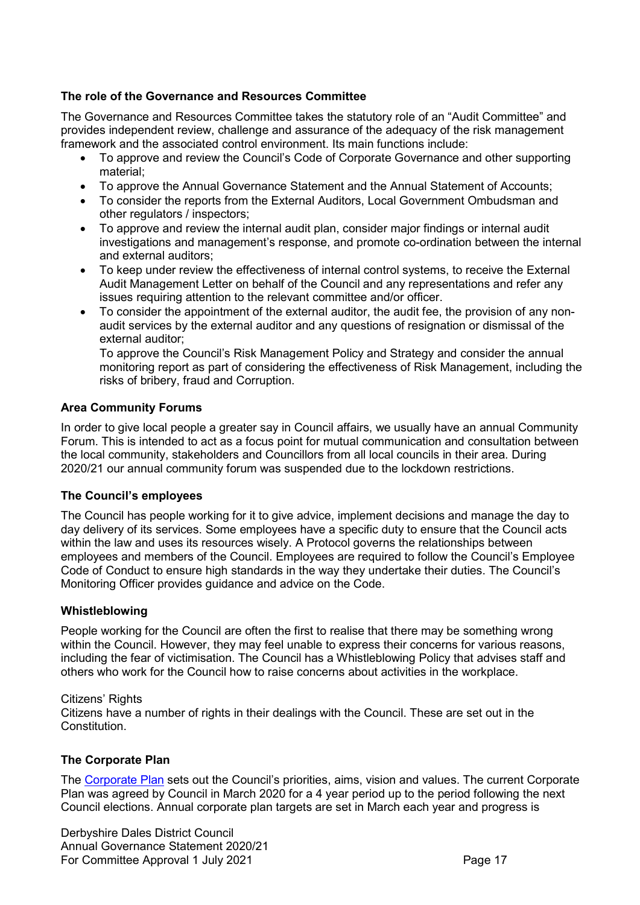### The role of the Governance and Resources Committee

The Governance and Resources Committee takes the statutory role of an "Audit Committee" and provides independent review, challenge and assurance of the adequacy of the risk management framework and the associated control environment. Its main functions include:

- To approve and review the Council's Code of Corporate Governance and other supporting material;
- To approve the Annual Governance Statement and the Annual Statement of Accounts;
- To consider the reports from the External Auditors, Local Government Ombudsman and other regulators / inspectors;
- To approve and review the internal audit plan, consider major findings or internal audit investigations and management's response, and promote co-ordination between the internal and external auditors;
- To keep under review the effectiveness of internal control systems, to receive the External Audit Management Letter on behalf of the Council and any representations and refer any issues requiring attention to the relevant committee and/or officer.
- To consider the appointment of the external auditor, the audit fee, the provision of any nonaudit services by the external auditor and any questions of resignation or dismissal of the external auditor;

 To approve the Council's Risk Management Policy and Strategy and consider the annual monitoring report as part of considering the effectiveness of Risk Management, including the risks of bribery, fraud and Corruption.

#### Area Community Forums

In order to give local people a greater say in Council affairs, we usually have an annual Community Forum. This is intended to act as a focus point for mutual communication and consultation between the local community, stakeholders and Councillors from all local councils in their area. During 2020/21 our annual community forum was suspended due to the lockdown restrictions.

#### The Council's employees

The Council has people working for it to give advice, implement decisions and manage the day to day delivery of its services. Some employees have a specific duty to ensure that the Council acts within the law and uses its resources wisely. A Protocol governs the relationships between employees and members of the Council. Employees are required to follow the Council's Employee Code of Conduct to ensure high standards in the way they undertake their duties. The Council's Monitoring Officer provides guidance and advice on the Code.

#### Whistleblowing

People working for the Council are often the first to realise that there may be something wrong within the Council. However, they may feel unable to express their concerns for various reasons, including the fear of victimisation. The Council has a Whistleblowing Policy that advises staff and others who work for the Council how to raise concerns about activities in the workplace.

#### Citizens' Rights

Citizens have a number of rights in their dealings with the Council. These are set out in the **Constitution** 

#### The Corporate Plan

The Corporate Plan sets out the Council's priorities, aims, vision and values. The current Corporate Plan was agreed by Council in March 2020 for a 4 year period up to the period following the next Council elections. Annual corporate plan targets are set in March each year and progress is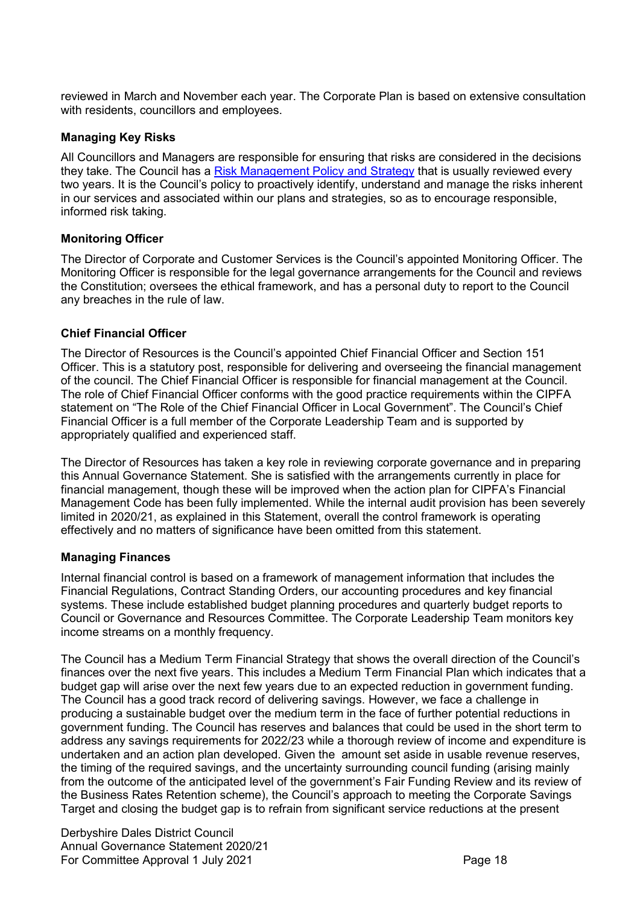reviewed in March and November each year. The Corporate Plan is based on extensive consultation with residents, councillors and employees.

#### Managing Key Risks

All Councillors and Managers are responsible for ensuring that risks are considered in the decisions they take. The Council has a Risk Management Policy and Strategy that is usually reviewed every two years. It is the Council's policy to proactively identify, understand and manage the risks inherent in our services and associated within our plans and strategies, so as to encourage responsible, informed risk taking.

#### Monitoring Officer

The Director of Corporate and Customer Services is the Council's appointed Monitoring Officer. The Monitoring Officer is responsible for the legal governance arrangements for the Council and reviews the Constitution; oversees the ethical framework, and has a personal duty to report to the Council any breaches in the rule of law.

#### Chief Financial Officer

The Director of Resources is the Council's appointed Chief Financial Officer and Section 151 Officer. This is a statutory post, responsible for delivering and overseeing the financial management of the council. The Chief Financial Officer is responsible for financial management at the Council. The role of Chief Financial Officer conforms with the good practice requirements within the CIPFA statement on "The Role of the Chief Financial Officer in Local Government". The Council's Chief Financial Officer is a full member of the Corporate Leadership Team and is supported by appropriately qualified and experienced staff.

The Director of Resources has taken a key role in reviewing corporate governance and in preparing this Annual Governance Statement. She is satisfied with the arrangements currently in place for financial management, though these will be improved when the action plan for CIPFA's Financial Management Code has been fully implemented. While the internal audit provision has been severely limited in 2020/21, as explained in this Statement, overall the control framework is operating effectively and no matters of significance have been omitted from this statement.

#### Managing Finances

Internal financial control is based on a framework of management information that includes the Financial Regulations, Contract Standing Orders, our accounting procedures and key financial systems. These include established budget planning procedures and quarterly budget reports to Council or Governance and Resources Committee. The Corporate Leadership Team monitors key income streams on a monthly frequency.

The Council has a Medium Term Financial Strategy that shows the overall direction of the Council's finances over the next five years. This includes a Medium Term Financial Plan which indicates that a budget gap will arise over the next few years due to an expected reduction in government funding. The Council has a good track record of delivering savings. However, we face a challenge in producing a sustainable budget over the medium term in the face of further potential reductions in government funding. The Council has reserves and balances that could be used in the short term to address any savings requirements for 2022/23 while a thorough review of income and expenditure is undertaken and an action plan developed. Given the amount set aside in usable revenue reserves, the timing of the required savings, and the uncertainty surrounding council funding (arising mainly from the outcome of the anticipated level of the government's Fair Funding Review and its review of the Business Rates Retention scheme), the Council's approach to meeting the Corporate Savings Target and closing the budget gap is to refrain from significant service reductions at the present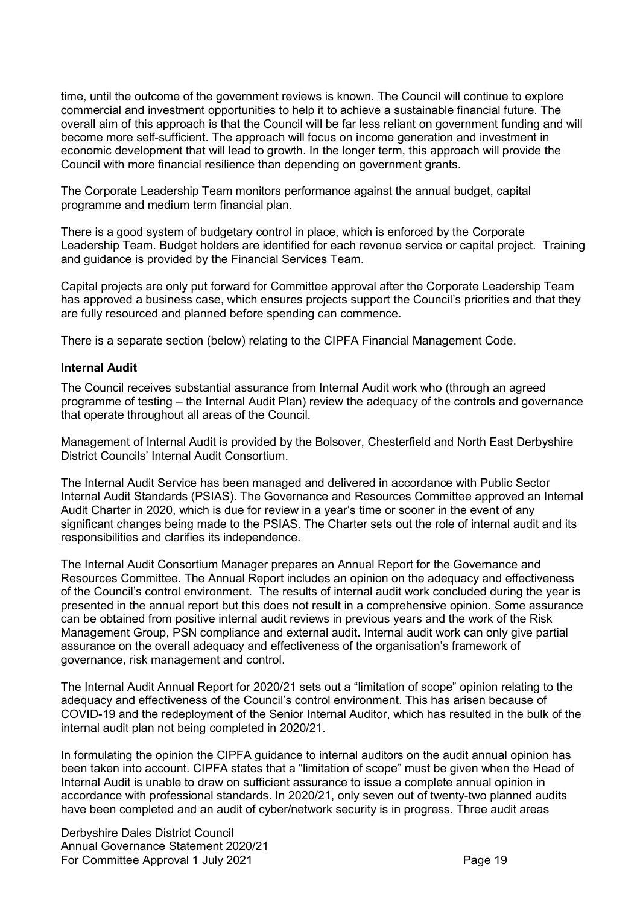time, until the outcome of the government reviews is known. The Council will continue to explore commercial and investment opportunities to help it to achieve a sustainable financial future. The overall aim of this approach is that the Council will be far less reliant on government funding and will become more self-sufficient. The approach will focus on income generation and investment in economic development that will lead to growth. In the longer term, this approach will provide the Council with more financial resilience than depending on government grants.

The Corporate Leadership Team monitors performance against the annual budget, capital programme and medium term financial plan.

There is a good system of budgetary control in place, which is enforced by the Corporate Leadership Team. Budget holders are identified for each revenue service or capital project. Training and guidance is provided by the Financial Services Team.

Capital projects are only put forward for Committee approval after the Corporate Leadership Team has approved a business case, which ensures projects support the Council's priorities and that they are fully resourced and planned before spending can commence.

There is a separate section (below) relating to the CIPFA Financial Management Code.

#### Internal Audit

The Council receives substantial assurance from Internal Audit work who (through an agreed programme of testing – the Internal Audit Plan) review the adequacy of the controls and governance that operate throughout all areas of the Council.

Management of Internal Audit is provided by the Bolsover, Chesterfield and North East Derbyshire District Councils' Internal Audit Consortium.

The Internal Audit Service has been managed and delivered in accordance with Public Sector Internal Audit Standards (PSIAS). The Governance and Resources Committee approved an Internal Audit Charter in 2020, which is due for review in a year's time or sooner in the event of any significant changes being made to the PSIAS. The Charter sets out the role of internal audit and its responsibilities and clarifies its independence.

The Internal Audit Consortium Manager prepares an Annual Report for the Governance and Resources Committee. The Annual Report includes an opinion on the adequacy and effectiveness of the Council's control environment. The results of internal audit work concluded during the year is presented in the annual report but this does not result in a comprehensive opinion. Some assurance can be obtained from positive internal audit reviews in previous years and the work of the Risk Management Group, PSN compliance and external audit. Internal audit work can only give partial assurance on the overall adequacy and effectiveness of the organisation's framework of governance, risk management and control.

The Internal Audit Annual Report for 2020/21 sets out a "limitation of scope" opinion relating to the adequacy and effectiveness of the Council's control environment. This has arisen because of COVID-19 and the redeployment of the Senior Internal Auditor, which has resulted in the bulk of the internal audit plan not being completed in 2020/21.

In formulating the opinion the CIPFA guidance to internal auditors on the audit annual opinion has been taken into account. CIPFA states that a "limitation of scope" must be given when the Head of Internal Audit is unable to draw on sufficient assurance to issue a complete annual opinion in accordance with professional standards. In 2020/21, only seven out of twenty-two planned audits have been completed and an audit of cyber/network security is in progress. Three audit areas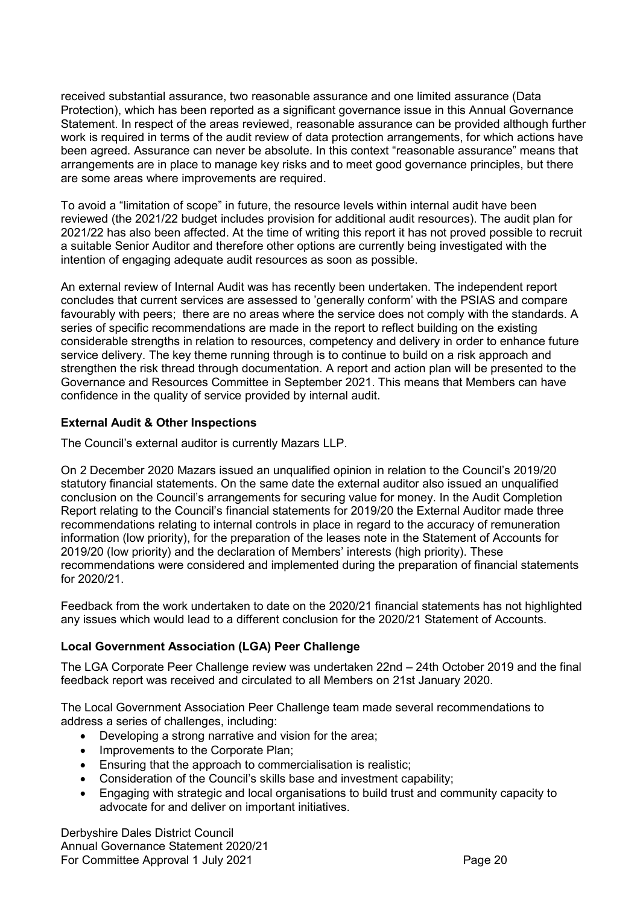received substantial assurance, two reasonable assurance and one limited assurance (Data Protection), which has been reported as a significant governance issue in this Annual Governance Statement. In respect of the areas reviewed, reasonable assurance can be provided although further work is required in terms of the audit review of data protection arrangements, for which actions have been agreed. Assurance can never be absolute. In this context "reasonable assurance" means that arrangements are in place to manage key risks and to meet good governance principles, but there are some areas where improvements are required.

To avoid a "limitation of scope" in future, the resource levels within internal audit have been reviewed (the 2021/22 budget includes provision for additional audit resources). The audit plan for 2021/22 has also been affected. At the time of writing this report it has not proved possible to recruit a suitable Senior Auditor and therefore other options are currently being investigated with the intention of engaging adequate audit resources as soon as possible.

An external review of Internal Audit was has recently been undertaken. The independent report concludes that current services are assessed to 'generally conform' with the PSIAS and compare favourably with peers; there are no areas where the service does not comply with the standards. A series of specific recommendations are made in the report to reflect building on the existing considerable strengths in relation to resources, competency and delivery in order to enhance future service delivery. The key theme running through is to continue to build on a risk approach and strengthen the risk thread through documentation. A report and action plan will be presented to the Governance and Resources Committee in September 2021. This means that Members can have confidence in the quality of service provided by internal audit.

### External Audit & Other Inspections

The Council's external auditor is currently Mazars LLP.

On 2 December 2020 Mazars issued an unqualified opinion in relation to the Council's 2019/20 statutory financial statements. On the same date the external auditor also issued an unqualified conclusion on the Council's arrangements for securing value for money. In the Audit Completion Report relating to the Council's financial statements for 2019/20 the External Auditor made three recommendations relating to internal controls in place in regard to the accuracy of remuneration information (low priority), for the preparation of the leases note in the Statement of Accounts for 2019/20 (low priority) and the declaration of Members' interests (high priority). These recommendations were considered and implemented during the preparation of financial statements for 2020/21.

Feedback from the work undertaken to date on the 2020/21 financial statements has not highlighted any issues which would lead to a different conclusion for the 2020/21 Statement of Accounts.

### Local Government Association (LGA) Peer Challenge

The LGA Corporate Peer Challenge review was undertaken 22nd – 24th October 2019 and the final feedback report was received and circulated to all Members on 21st January 2020.

The Local Government Association Peer Challenge team made several recommendations to address a series of challenges, including:

- Developing a strong narrative and vision for the area:
- Improvements to the Corporate Plan;
- **Ensuring that the approach to commercialisation is realistic;**
- Consideration of the Council's skills base and investment capability;
- Engaging with strategic and local organisations to build trust and community capacity to advocate for and deliver on important initiatives.

Derbyshire Dales District Council Annual Governance Statement 2020/21 For Committee Approval 1 July 2021 Committee Approval 1 July 2021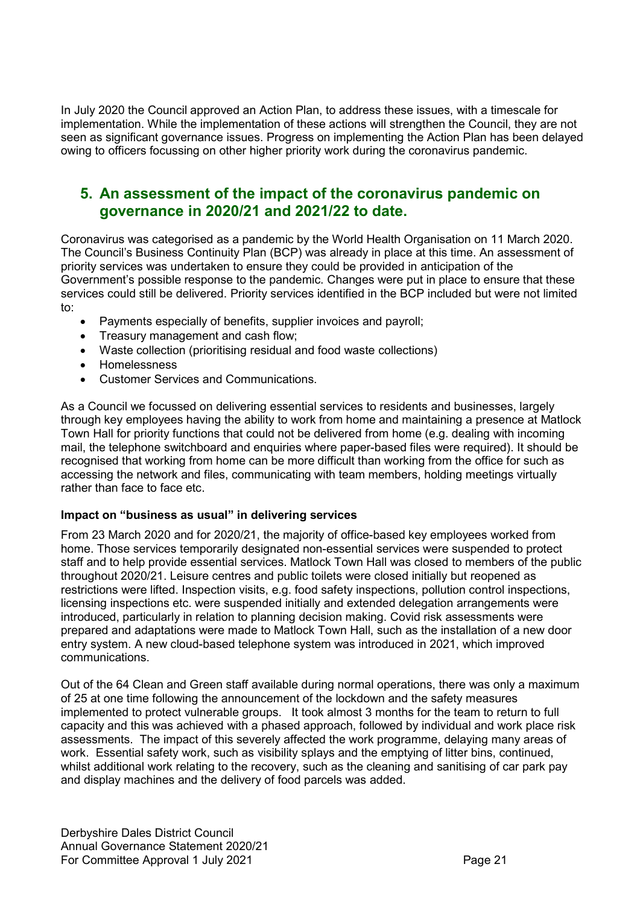In July 2020 the Council approved an Action Plan, to address these issues, with a timescale for implementation. While the implementation of these actions will strengthen the Council, they are not seen as significant governance issues. Progress on implementing the Action Plan has been delayed owing to officers focussing on other higher priority work during the coronavirus pandemic.

# 5. An assessment of the impact of the coronavirus pandemic on governance in 2020/21 and 2021/22 to date.

Coronavirus was categorised as a pandemic by the World Health Organisation on 11 March 2020. The Council's Business Continuity Plan (BCP) was already in place at this time. An assessment of priority services was undertaken to ensure they could be provided in anticipation of the Government's possible response to the pandemic. Changes were put in place to ensure that these services could still be delivered. Priority services identified in the BCP included but were not limited to:

- Payments especially of benefits, supplier invoices and payroll;
- Treasury management and cash flow;
- Waste collection (prioritising residual and food waste collections)
- Homelessness
- Customer Services and Communications.

As a Council we focussed on delivering essential services to residents and businesses, largely through key employees having the ability to work from home and maintaining a presence at Matlock Town Hall for priority functions that could not be delivered from home (e.g. dealing with incoming mail, the telephone switchboard and enquiries where paper-based files were required). It should be recognised that working from home can be more difficult than working from the office for such as accessing the network and files, communicating with team members, holding meetings virtually rather than face to face etc.

#### Impact on "business as usual" in delivering services

From 23 March 2020 and for 2020/21, the majority of office-based key employees worked from home. Those services temporarily designated non-essential services were suspended to protect staff and to help provide essential services. Matlock Town Hall was closed to members of the public throughout 2020/21. Leisure centres and public toilets were closed initially but reopened as restrictions were lifted. Inspection visits, e.g. food safety inspections, pollution control inspections, licensing inspections etc. were suspended initially and extended delegation arrangements were introduced, particularly in relation to planning decision making. Covid risk assessments were prepared and adaptations were made to Matlock Town Hall, such as the installation of a new door entry system. A new cloud-based telephone system was introduced in 2021, which improved communications.

Out of the 64 Clean and Green staff available during normal operations, there was only a maximum of 25 at one time following the announcement of the lockdown and the safety measures implemented to protect vulnerable groups. It took almost 3 months for the team to return to full capacity and this was achieved with a phased approach, followed by individual and work place risk assessments. The impact of this severely affected the work programme, delaying many areas of work. Essential safety work, such as visibility splays and the emptying of litter bins, continued, whilst additional work relating to the recovery, such as the cleaning and sanitising of car park pay and display machines and the delivery of food parcels was added.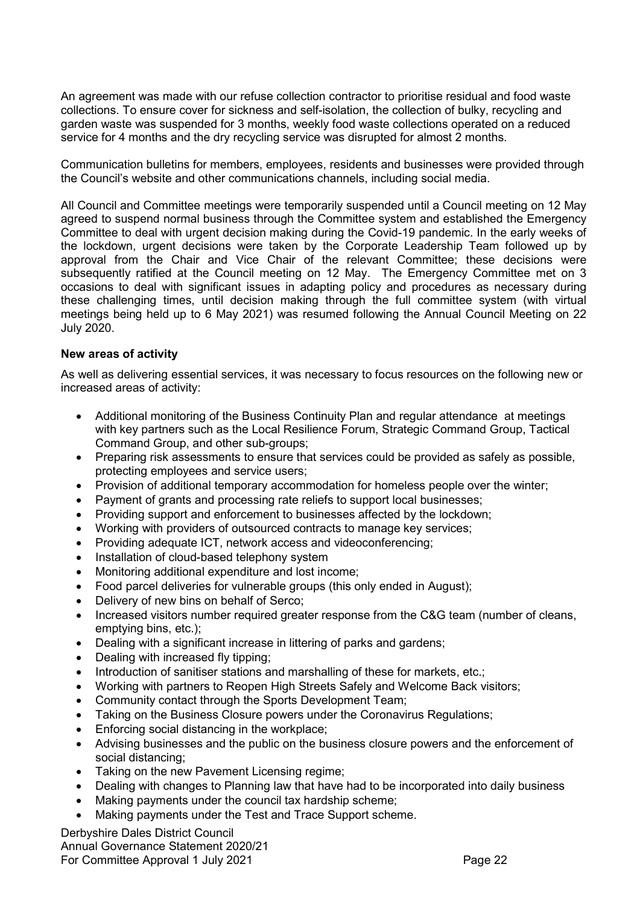An agreement was made with our refuse collection contractor to prioritise residual and food waste collections. To ensure cover for sickness and self-isolation, the collection of bulky, recycling and garden waste was suspended for 3 months, weekly food waste collections operated on a reduced service for 4 months and the dry recycling service was disrupted for almost 2 months.

Communication bulletins for members, employees, residents and businesses were provided through the Council's website and other communications channels, including social media.

All Council and Committee meetings were temporarily suspended until a Council meeting on 12 May agreed to suspend normal business through the Committee system and established the Emergency Committee to deal with urgent decision making during the Covid-19 pandemic. In the early weeks of the lockdown, urgent decisions were taken by the Corporate Leadership Team followed up by approval from the Chair and Vice Chair of the relevant Committee; these decisions were subsequently ratified at the Council meeting on 12 May. The Emergency Committee met on 3 occasions to deal with significant issues in adapting policy and procedures as necessary during these challenging times, until decision making through the full committee system (with virtual meetings being held up to 6 May 2021) was resumed following the Annual Council Meeting on 22 July 2020.

#### New areas of activity

As well as delivering essential services, it was necessary to focus resources on the following new or increased areas of activity:

- Additional monitoring of the Business Continuity Plan and regular attendance at meetings with key partners such as the Local Resilience Forum, Strategic Command Group, Tactical Command Group, and other sub-groups;
- Preparing risk assessments to ensure that services could be provided as safely as possible, protecting employees and service users;
- Provision of additional temporary accommodation for homeless people over the winter;
- Payment of grants and processing rate reliefs to support local businesses;
- Providing support and enforcement to businesses affected by the lockdown;
- Working with providers of outsourced contracts to manage key services;
- Providing adequate ICT, network access and videoconferencing;
- Installation of cloud-based telephony system
- Monitoring additional expenditure and lost income;
- Food parcel deliveries for vulnerable groups (this only ended in August):
- Delivery of new bins on behalf of Serco;
- Increased visitors number required greater response from the C&G team (number of cleans, emptying bins, etc.);
- Dealing with a significant increase in littering of parks and gardens;
- Dealing with increased fly tipping;
- Introduction of sanitiser stations and marshalling of these for markets, etc.;
- Working with partners to Reopen High Streets Safely and Welcome Back visitors;
- Community contact through the Sports Development Team;
- Taking on the Business Closure powers under the Coronavirus Regulations;
- Enforcing social distancing in the workplace;
- Advising businesses and the public on the business closure powers and the enforcement of social distancing;
- Taking on the new Pavement Licensing regime;
- Dealing with changes to Planning law that have had to be incorporated into daily business
- Making payments under the council tax hardship scheme;
- Making payments under the Test and Trace Support scheme.

Derbyshire Dales District Council Annual Governance Statement 2020/21 For Committee Approval 1 July 2021 **Page 22** Page 22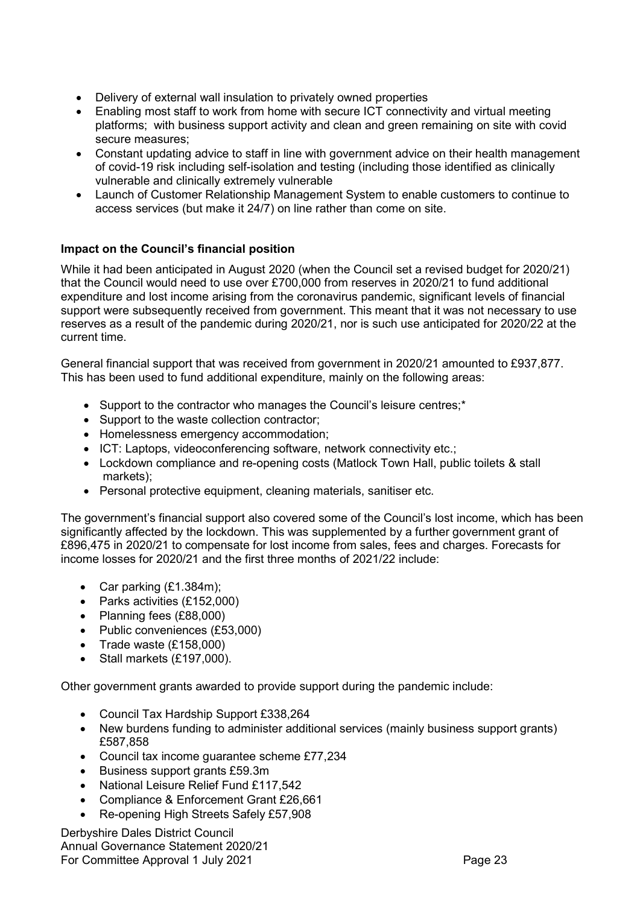- Delivery of external wall insulation to privately owned properties
- Enabling most staff to work from home with secure ICT connectivity and virtual meeting platforms; with business support activity and clean and green remaining on site with covid secure measures;
- Constant updating advice to staff in line with government advice on their health management of covid-19 risk including self-isolation and testing (including those identified as clinically vulnerable and clinically extremely vulnerable
- Launch of Customer Relationship Management System to enable customers to continue to access services (but make it 24/7) on line rather than come on site.

## Impact on the Council's financial position

While it had been anticipated in August 2020 (when the Council set a revised budget for 2020/21) that the Council would need to use over £700,000 from reserves in 2020/21 to fund additional expenditure and lost income arising from the coronavirus pandemic, significant levels of financial support were subsequently received from government. This meant that it was not necessary to use reserves as a result of the pandemic during 2020/21, nor is such use anticipated for 2020/22 at the current time.

General financial support that was received from government in 2020/21 amounted to £937,877. This has been used to fund additional expenditure, mainly on the following areas:

- Support to the contractor who manages the Council's leisure centres;\*
- Support to the waste collection contractor;
- Homelessness emergency accommodation;
- ICT: Laptops, videoconferencing software, network connectivity etc.;
- Lockdown compliance and re-opening costs (Matlock Town Hall, public toilets & stall markets);
- Personal protective equipment, cleaning materials, sanitiser etc.

The government's financial support also covered some of the Council's lost income, which has been significantly affected by the lockdown. This was supplemented by a further government grant of £896,475 in 2020/21 to compensate for lost income from sales, fees and charges. Forecasts for income losses for 2020/21 and the first three months of 2021/22 include:

- Car parking  $(E1.384m)$ ;
- Parks activities (£152,000)
- Planning fees (£88,000)
- Public conveniences (£53,000)
- $\bullet$  Trade waste (£158,000)
- $\bullet$  Stall markets (£197,000).

Other government grants awarded to provide support during the pandemic include:

- Council Tax Hardship Support £338,264
- New burdens funding to administer additional services (mainly business support grants) £587,858
- Council tax income guarantee scheme £77,234
- Business support grants £59.3m
- National Leisure Relief Fund £117,542
- Compliance & Enforcement Grant £26,661
- Re-opening High Streets Safely £57,908

Derbyshire Dales District Council Annual Governance Statement 2020/21 For Committee Approval 1 July 2021 **Page 23**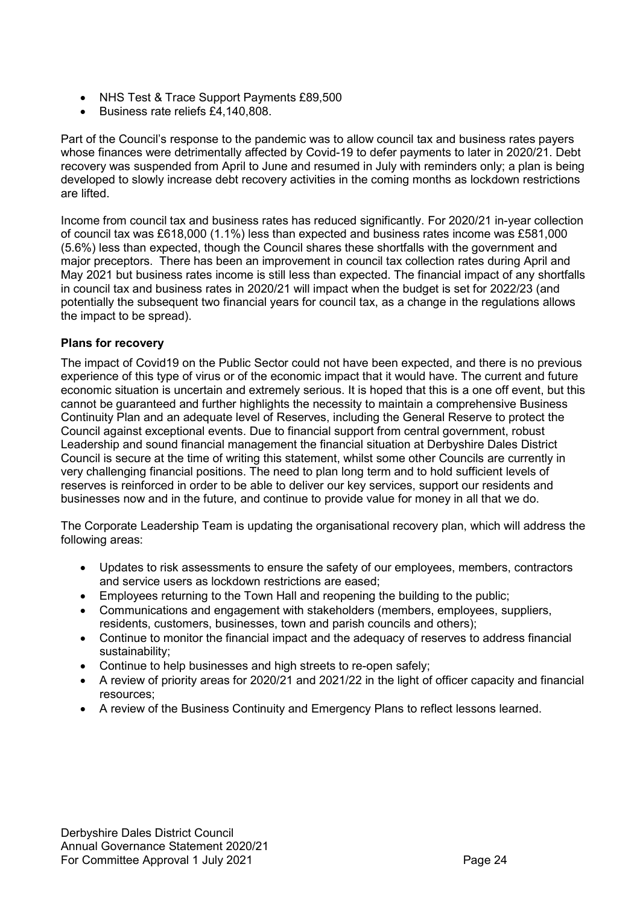- NHS Test & Trace Support Payments £89,500
- Business rate reliefs £4,140,808.

Part of the Council's response to the pandemic was to allow council tax and business rates payers whose finances were detrimentally affected by Covid-19 to defer payments to later in 2020/21. Debt recovery was suspended from April to June and resumed in July with reminders only; a plan is being developed to slowly increase debt recovery activities in the coming months as lockdown restrictions are lifted.

Income from council tax and business rates has reduced significantly. For 2020/21 in-year collection of council tax was £618,000 (1.1%) less than expected and business rates income was £581,000 (5.6%) less than expected, though the Council shares these shortfalls with the government and major preceptors. There has been an improvement in council tax collection rates during April and May 2021 but business rates income is still less than expected. The financial impact of any shortfalls in council tax and business rates in 2020/21 will impact when the budget is set for 2022/23 (and potentially the subsequent two financial years for council tax, as a change in the regulations allows the impact to be spread).

## Plans for recovery

The impact of Covid19 on the Public Sector could not have been expected, and there is no previous experience of this type of virus or of the economic impact that it would have. The current and future economic situation is uncertain and extremely serious. It is hoped that this is a one off event, but this cannot be guaranteed and further highlights the necessity to maintain a comprehensive Business Continuity Plan and an adequate level of Reserves, including the General Reserve to protect the Council against exceptional events. Due to financial support from central government, robust Leadership and sound financial management the financial situation at Derbyshire Dales District Council is secure at the time of writing this statement, whilst some other Councils are currently in very challenging financial positions. The need to plan long term and to hold sufficient levels of reserves is reinforced in order to be able to deliver our key services, support our residents and businesses now and in the future, and continue to provide value for money in all that we do.

The Corporate Leadership Team is updating the organisational recovery plan, which will address the following areas:

- Updates to risk assessments to ensure the safety of our employees, members, contractors and service users as lockdown restrictions are eased;
- Employees returning to the Town Hall and reopening the building to the public;
- Communications and engagement with stakeholders (members, employees, suppliers, residents, customers, businesses, town and parish councils and others);
- Continue to monitor the financial impact and the adequacy of reserves to address financial sustainability;
- Continue to help businesses and high streets to re-open safely:
- A review of priority areas for 2020/21 and 2021/22 in the light of officer capacity and financial resources;
- A review of the Business Continuity and Emergency Plans to reflect lessons learned.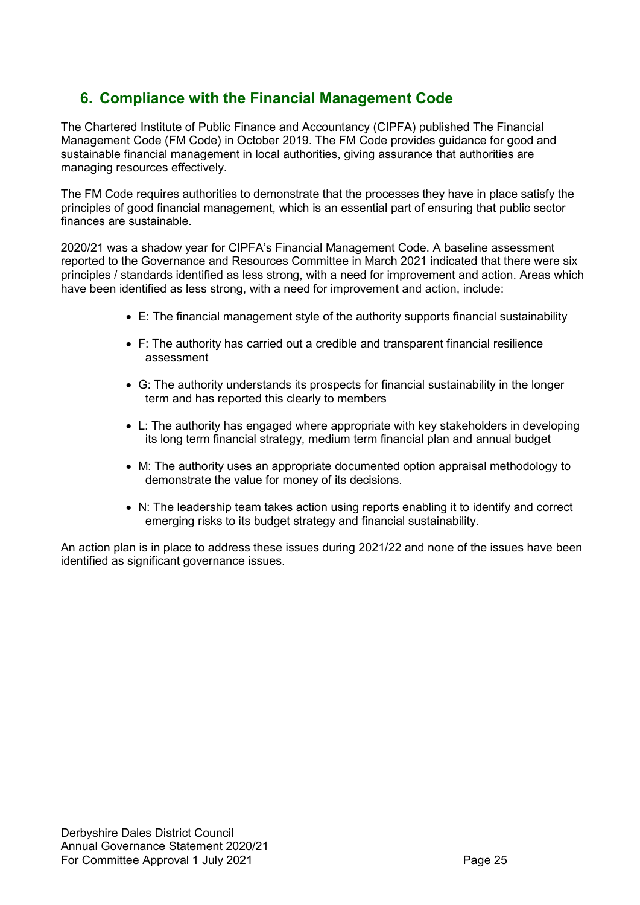# 6. Compliance with the Financial Management Code

The Chartered Institute of Public Finance and Accountancy (CIPFA) published The Financial Management Code (FM Code) in October 2019. The FM Code provides guidance for good and sustainable financial management in local authorities, giving assurance that authorities are managing resources effectively.

The FM Code requires authorities to demonstrate that the processes they have in place satisfy the principles of good financial management, which is an essential part of ensuring that public sector finances are sustainable.

2020/21 was a shadow year for CIPFA's Financial Management Code. A baseline assessment reported to the Governance and Resources Committee in March 2021 indicated that there were six principles / standards identified as less strong, with a need for improvement and action. Areas which have been identified as less strong, with a need for improvement and action, include:

- E: The financial management style of the authority supports financial sustainability
- F: The authority has carried out a credible and transparent financial resilience assessment
- G: The authority understands its prospects for financial sustainability in the longer term and has reported this clearly to members
- L: The authority has engaged where appropriate with key stakeholders in developing its long term financial strategy, medium term financial plan and annual budget
- M: The authority uses an appropriate documented option appraisal methodology to demonstrate the value for money of its decisions.
- N: The leadership team takes action using reports enabling it to identify and correct emerging risks to its budget strategy and financial sustainability.

An action plan is in place to address these issues during 2021/22 and none of the issues have been identified as significant governance issues.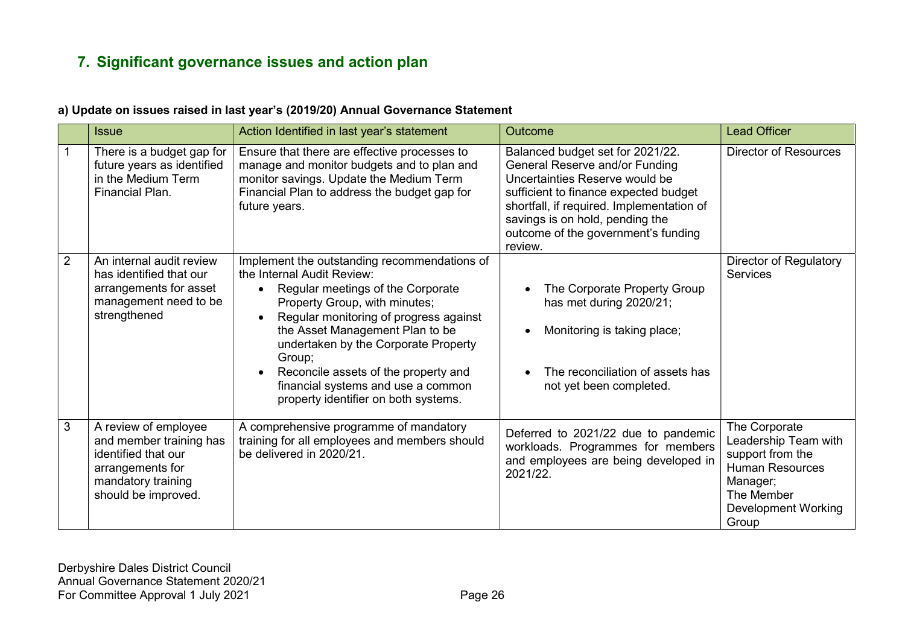# 7. Significant governance issues and action plan

### a) Update on issues raised in last year's (2019/20) Annual Governance Statement

|                | <b>Issue</b>                                                                                                                            | Action Identified in last year's statement                                                                                                                                                                                                                                                                                                                                                            | Outcome                                                                                                                                                                                                                                                                         | <b>Lead Officer</b>                                                                                                                                  |
|----------------|-----------------------------------------------------------------------------------------------------------------------------------------|-------------------------------------------------------------------------------------------------------------------------------------------------------------------------------------------------------------------------------------------------------------------------------------------------------------------------------------------------------------------------------------------------------|---------------------------------------------------------------------------------------------------------------------------------------------------------------------------------------------------------------------------------------------------------------------------------|------------------------------------------------------------------------------------------------------------------------------------------------------|
|                | There is a budget gap for<br>future years as identified<br>in the Medium Term<br>Financial Plan.                                        | Ensure that there are effective processes to<br>manage and monitor budgets and to plan and<br>monitor savings. Update the Medium Term<br>Financial Plan to address the budget gap for<br>future years.                                                                                                                                                                                                | Balanced budget set for 2021/22.<br>General Reserve and/or Funding<br>Uncertainties Reserve would be<br>sufficient to finance expected budget<br>shortfall, if required. Implementation of<br>savings is on hold, pending the<br>outcome of the government's funding<br>review. | <b>Director of Resources</b>                                                                                                                         |
| $\overline{2}$ | An internal audit review<br>has identified that our<br>arrangements for asset<br>management need to be<br>strengthened                  | Implement the outstanding recommendations of<br>the Internal Audit Review:<br>Regular meetings of the Corporate<br>Property Group, with minutes;<br>Regular monitoring of progress against<br>the Asset Management Plan to be<br>undertaken by the Corporate Property<br>Group;<br>Reconcile assets of the property and<br>financial systems and use a common<br>property identifier on both systems. | The Corporate Property Group<br>has met during 2020/21;<br>Monitoring is taking place;<br>The reconciliation of assets has<br>not yet been completed.                                                                                                                           | Director of Regulatory<br><b>Services</b>                                                                                                            |
| $\mathfrak{S}$ | A review of employee<br>and member training has<br>identified that our<br>arrangements for<br>mandatory training<br>should be improved. | A comprehensive programme of mandatory<br>training for all employees and members should<br>be delivered in 2020/21.                                                                                                                                                                                                                                                                                   | Deferred to 2021/22 due to pandemic<br>workloads. Programmes for members<br>and employees are being developed in<br>2021/22.                                                                                                                                                    | The Corporate<br>Leadership Team with<br>support from the<br><b>Human Resources</b><br>Manager;<br>The Member<br><b>Development Working</b><br>Group |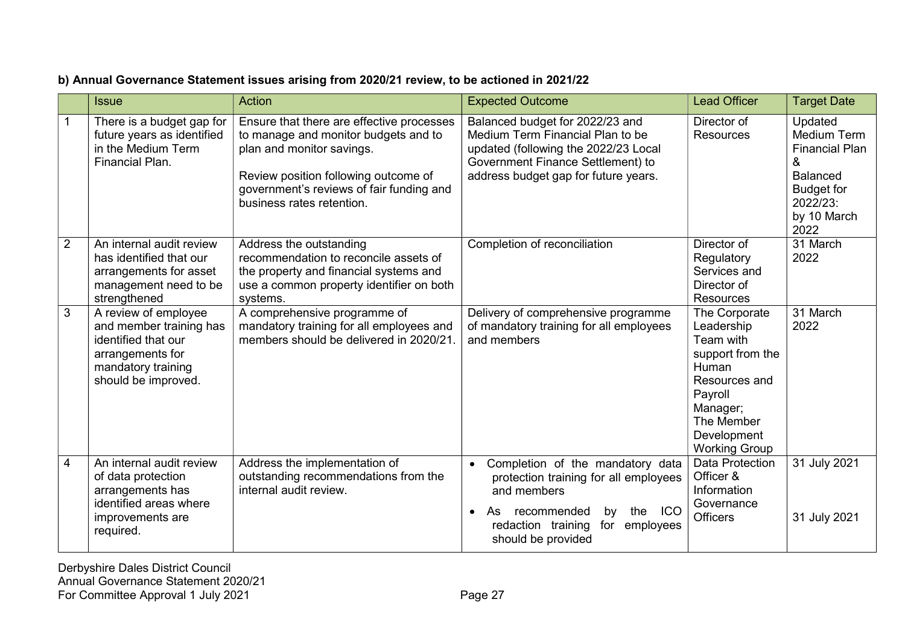# b) Annual Governance Statement issues arising from 2020/21 review, to be actioned in 2021/22

|                | <b>Issue</b>                                                                                                                            | Action                                                                                                                                                                                                                          | <b>Expected Outcome</b>                                                                                                                                                                                                     | <b>Lead Officer</b>                                                                                                                                                | <b>Target Date</b>                                                                                                                     |
|----------------|-----------------------------------------------------------------------------------------------------------------------------------------|---------------------------------------------------------------------------------------------------------------------------------------------------------------------------------------------------------------------------------|-----------------------------------------------------------------------------------------------------------------------------------------------------------------------------------------------------------------------------|--------------------------------------------------------------------------------------------------------------------------------------------------------------------|----------------------------------------------------------------------------------------------------------------------------------------|
|                | There is a budget gap for<br>future years as identified<br>in the Medium Term<br>Financial Plan.                                        | Ensure that there are effective processes<br>to manage and monitor budgets and to<br>plan and monitor savings.<br>Review position following outcome of<br>government's reviews of fair funding and<br>business rates retention. | Balanced budget for 2022/23 and<br>Medium Term Financial Plan to be<br>updated (following the 2022/23 Local<br>Government Finance Settlement) to<br>address budget gap for future years.                                    | Director of<br><b>Resources</b>                                                                                                                                    | Updated<br><b>Medium Term</b><br><b>Financial Plan</b><br>&<br><b>Balanced</b><br><b>Budget for</b><br>2022/23:<br>by 10 March<br>2022 |
| $\overline{2}$ | An internal audit review<br>has identified that our<br>arrangements for asset<br>management need to be<br>strengthened                  | Address the outstanding<br>recommendation to reconcile assets of<br>the property and financial systems and<br>use a common property identifier on both<br>systems.                                                              | Completion of reconciliation                                                                                                                                                                                                | Director of<br>Regulatory<br>Services and<br>Director of<br><b>Resources</b>                                                                                       | 31 March<br>2022                                                                                                                       |
| 3              | A review of employee<br>and member training has<br>identified that our<br>arrangements for<br>mandatory training<br>should be improved. | A comprehensive programme of<br>mandatory training for all employees and<br>members should be delivered in 2020/21.                                                                                                             | Delivery of comprehensive programme<br>of mandatory training for all employees<br>and members                                                                                                                               | The Corporate<br>Leadership<br>Team with<br>support from the<br>Human<br>Resources and<br>Payroll<br>Manager;<br>The Member<br>Development<br><b>Working Group</b> | 31 March<br>2022                                                                                                                       |
| $\overline{4}$ | An internal audit review<br>of data protection<br>arrangements has<br>identified areas where<br>improvements are<br>required.           | Address the implementation of<br>outstanding recommendations from the<br>internal audit review.                                                                                                                                 | Completion of the mandatory data<br>$\bullet$<br>protection training for all employees<br>and members<br>ICO<br>recommended<br>by<br>As<br>the<br>$\bullet$<br>for<br>redaction training<br>employees<br>should be provided | Data Protection<br>Officer &<br>Information<br>Governance<br>Officers                                                                                              | 31 July 2021<br>31 July 2021                                                                                                           |